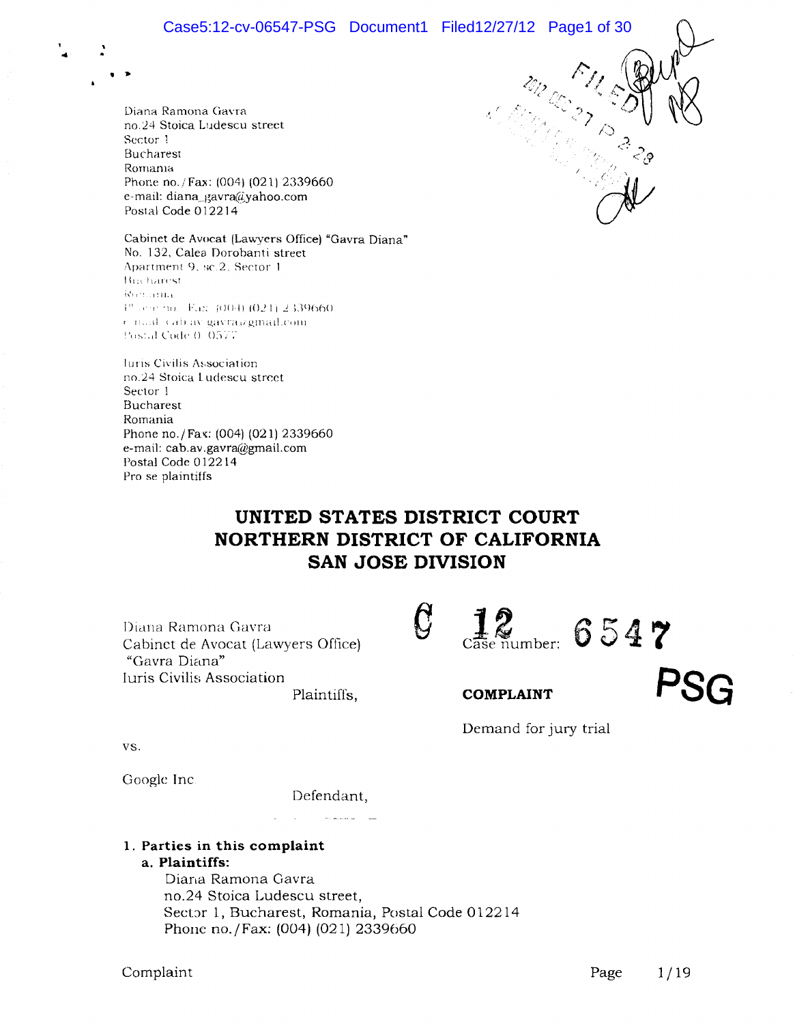$\mathcal{D}_\mathcal{F}$  .

 $\partial\!\!\!\!\psi$ 

Diana Ramona Gavra no.24 Stoica Ludescu street Sector 1 Bucharest Romania Phone no./Fax: (004) (021) 2339660 e-mail: diana\_gavra@yahoo.com Postal Code 012214

...

. *.* 

Cabinet de Avocat (Lawyers Office) "Gavra Diana" No. 132, Calea Dorobanti street Apartment 9, sc.2. Sector 1. Bucharest Romania i" " " no. Eax (004) (021) 2339660 ( mad (ab.av.gavraagmail.com Postal Code 0, 0577

luris Civilis Association no.24 Stoica Ludescu street Sector 1 Bucharest Romania Phone no./Fax: (004) (021) 2339660 e-mail: cab.av.gavra@gmail.com Postal Code 012214 Pro se plaintiffs

# **UNITED STATES DISTRICT COURT NORTHERN DISTRICT OF CALIFORNIA SAN JOSE DIVISION**

 $\mathcal G$ 

Diana Ramona Gavra Cabinet de Avocat (Lawyers Office) "Gavra Diana" Iuris Civilis Association

Plaintiffs,

vs.

Google Inc

Defendant,

and care

# **1. Parties in this complaint**

**a. Plaintiffs:** 

Diana Ramona Gavra no.24 Stoica Ludescu street, Sector 1, Bucharest, Romania, Postal Code 012214 Phone no. / Fax: (004) (021) 2339660

**PSG** 

**12** Case number: **6547** 

**COMPLAINT** 

Demand for jury trial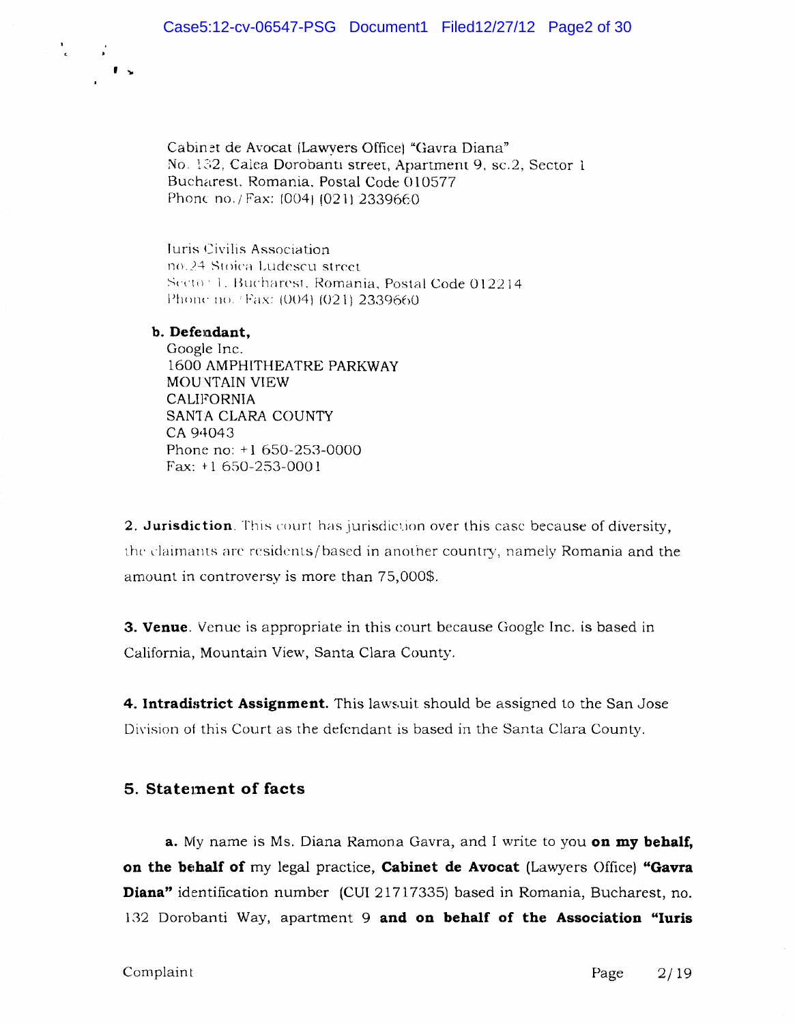Cabinet de Avocat (Lawyers Office) "Gavra Diana" No. 132, Calea Dorobanti street, Apartment 9, sc.2, Sector 1 Bucharest. Romania. Postal Code 010577 Phonc no./Fax: (004) (021) 2339660

Iuris Civilis Association no.24 Stoica Ludescu street. Secto: 1. Bucharest, Romania, Postal Code 012214 Phone no. /Fax: (004) (021) 2339660

### b. Defendant,

, ...

 $\frac{1}{\epsilon}$  .

Google Inc. 1600 AMPHITHEATRE PARKWAY MOUNTAIN VIEW **CALIFORNIA** SAN1A CLARA COUNTY CA 94043 Phone no: +1 650-253-0000 Fax:  $+1$  650-253-0001

2. Jurisdiction. This court has jurisdiction over this case because of diversity, the claimants arc residents/based in another country, namely Romania and the amount in controversy is more than 75,000\$.

**3. Venue**. Venue is appropriate in this court because Google Inc. is based in California, Mountain View, Santa Clara County.

**4. Intradistrict Assignment.** This lawsuit should be assigned to the San Jose Division of this Court as the defendant is based in the Santa Clara County.

# **5.** Statement of facts

**a.** My name is Ms. Diana Ramona Gavra, and I write to you **on my behalf, on the behalf of** my legal practice, **Cabinet de Avocat** (Lawyers Office) "Gavra **Diana"** identification number (CUI 21717335) based in Romania, Bucharest, no. 132 Dorobanti Way, apartment 9 **and on behalf of the Association "Iuris**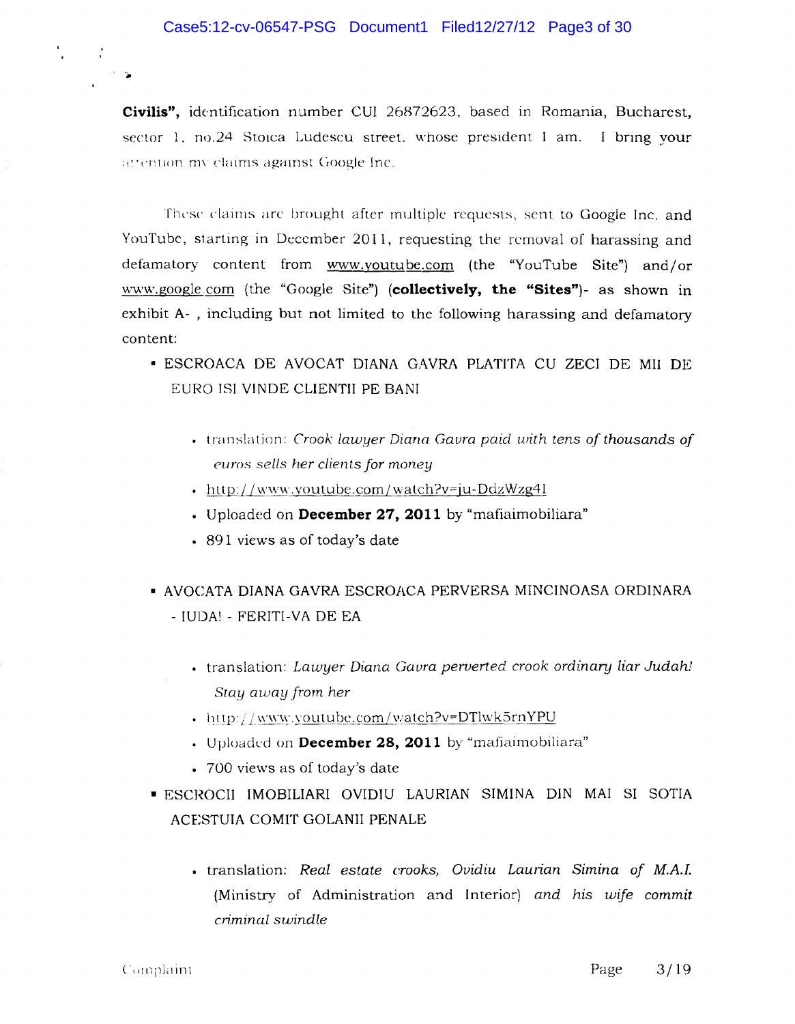**Civilis",** identification number CUI 26872623, based in Romania, Bucharest, sector 1, no.24 Stolca Ludescu street, whose president I am. I bring your attention my claims against Google Inc.

These claims arc brought after multiple requests, sent to Google Inc. and YouTube, starting in December 2011, requesting the removal of harassing and defamatory content from www.youtube.com (the "YouTube Site") and/or \VvV\v.google.com (the "Google Site") **(collectively, the "Sites")-** as shown in exhibit A- , including but not limited to the following harassing and defamatory content:

- ESCROACA DE AVOCAT DIANA GAVRA PLATITA CU ZECI DE MIl DE EURO lSI VINDE CLIENTII PE BANI
	- translation: *Crook lawyer Diana Gavra paid with tens of thousands of ('uro.s sells her client.s for money*
	- http://www.youtube.com/watch?v=ju-DdzWzg41
	- Uploaded on **December 27,2011** by"mafiaimobiliara"
	- 891 views as of today's date
- AVOCATA DIANA GAVRA ESCROACA PERVERSA MINCINOASA ORDINARA - IUDA! - FERITI-VA DE EA
	- translation: *Lawyer Diana Gaura perverted crook ordinary liar Judah! Stay away from her*
	- http://www.youtube.com/watch?v=DTlwk5rnYPU
	- Uploaded on **December 28, 2011** by "mafiaimobiliara"
	- 700 views as of today's date
- ESCROCII IMOBILIARI OVIDIU LAURIAN SIMINA DIN MAl SI SOTIA ACESTUIA COMIT GOLANII PENALE
	- translation: *Real estate crooks, Ovidiu Lawian Simina of M.A.!.*  (Ministry of Administration and Interior) *and his wife commit criminal swindle*

 $\frac{1}{4}$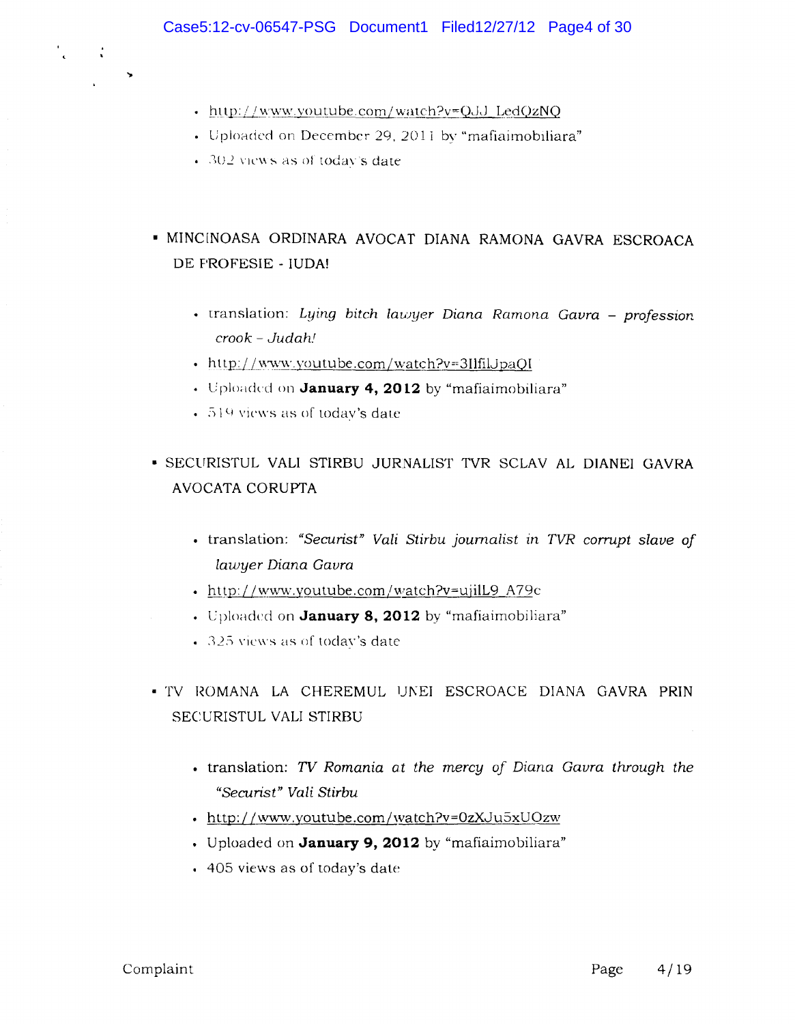- http://www.youtube.com/watch?v=QJJ\_LedQzNQ
- Uploaded on December 29, 2011 by "mafiaimobiliara"
- $302$  views as of today's date.

 $\mathcal{L}$ 

- MINC[NOASA ORDINARA AVOCAT DIANA RAMONA GAVRA ESCROACA DE PROFESIE - IUDA!
	- translation: *Lying bitch lawyer Diana Ramona Gavra profession crook* - *Judah.'*
	- http://www.youtube.com/watch?v=3IlfilJpaQI
	- Uploaded on **January 4, 2012** by "mafiaimobiliara"
	- $\cdot$  519 views as of today's date
- SECURISTUL VALl STIRBU JURNALlST TVR SCLAV AL DIANEI GAVRA AVOCATA CORUPTA
	- translation: *"Secunst" Vali Stirbu journalist In TVR corrupt slave of lawyer Diana Gavra*
	- http://www.youtube.com/watch?v=ujilL9\_A79c
	- Uploaded on **January 8, 2012** by "mafiaimobiliara"
	- $\cdot$  325 views as of today's date
- · TV ROMANA LA CHEREMUL UNEI ESCROACE DIANA GAVRA PRIN SECURISTUL VALl STIRBU
	- translation: *TV Romania at the mercy of Diana Gavra through the "Secunst" Vali Stirbu*
	- http://www.youtube.com/watch?v=0zXJu5xUOzw
	- Uploaded on **January 9, 2012** by "mafiaimobiliara"
	- 405 views as of today's date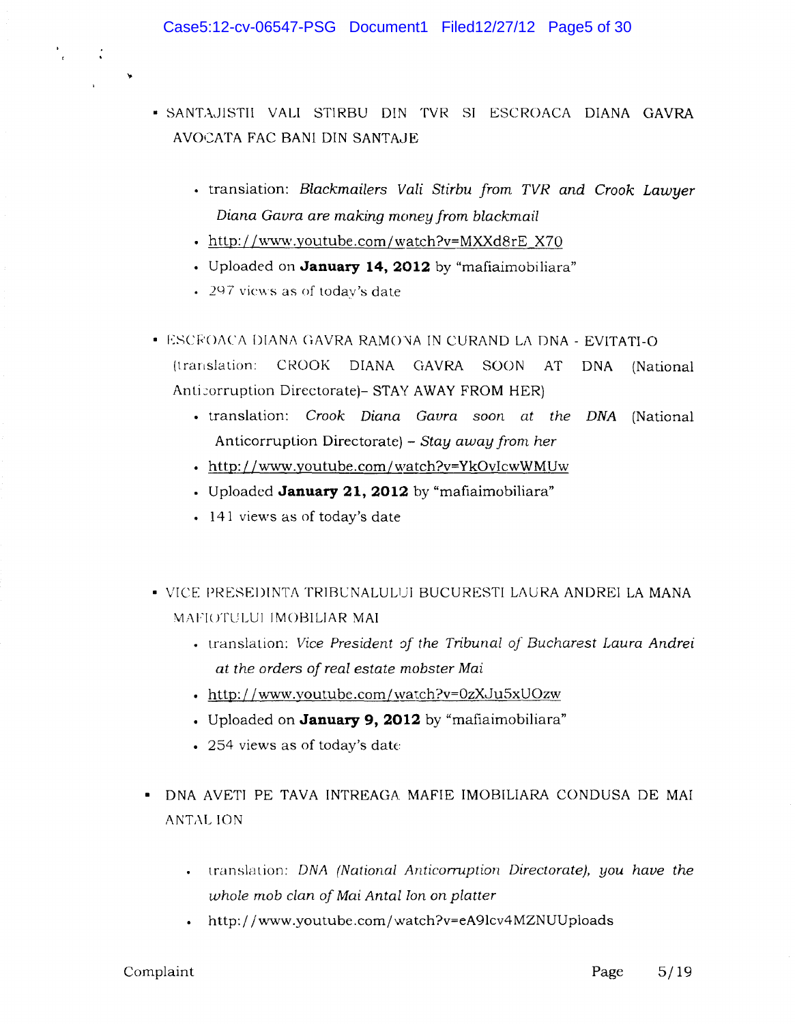- SANT,\,JlSTil VALl STIRBU DIN TVR SI ESCROACA DIANA GAVRA AVOCATA FAC BANI DIN SANTAJE
	- translation: *Blackmailers Vali Stirbu from TVR and Crook Lawyer Diana Gavra are making money from blackmail*
	- http://www.youtube.com/watch?v=MXXd8rE X70
	- Uploaded on **January 14, 2012** by"mafiaimobiliara"
	- 297 views as of today's date
- ESCEOACA DIANA GAVRA RAMO'NA IN CURAND LA DNA EVITATI-O (translation: CROOK DIANA GAVRA SOON AT DNA (National Anticorruption Directorate) - STAY AWAY FROM HER)
	- translation: *Crook Diana Gavra soon at the* DNA (National Anticorruption Directorate) - *Stay away from her*
	- http://www.youtube.com/watch?v=YkOvlcwWMUw
	- Uploaded **January 21, 2012** by"mafiaimobiliara"
	- 141 views as of today's date
- VICE PRESEI)INTA TRIBCNALULUI BUCURESTI LAURA ANDREI LA MANA MAFIOTULUI IMOBILIAR MAI
	- translation: *Vice President of the Tribunal of Bucharest Laura Andrei at the orders of real estate mobster Mai*
	- http://www.youtube.com/watch?v=0zXJu5xUOzw
	- Uploaded on **January 9, 2012** by "mafiaimobiliara"
	- 254 views as of today's date
- DNA AVETI PE TAVA INTREAGA MAFIE IMOBILIARA CONDUSA DE MAl ANTAL ION
	- translation: *DNA (National Anticorruption Directorate), you have the whole mob clan of Mai Antal Ion on platter*
	- . http://www.youtube.com/watch?v=eA9lcv4MZNUUploads

 $\mathcal{L}$ 

 $\blacktriangleright$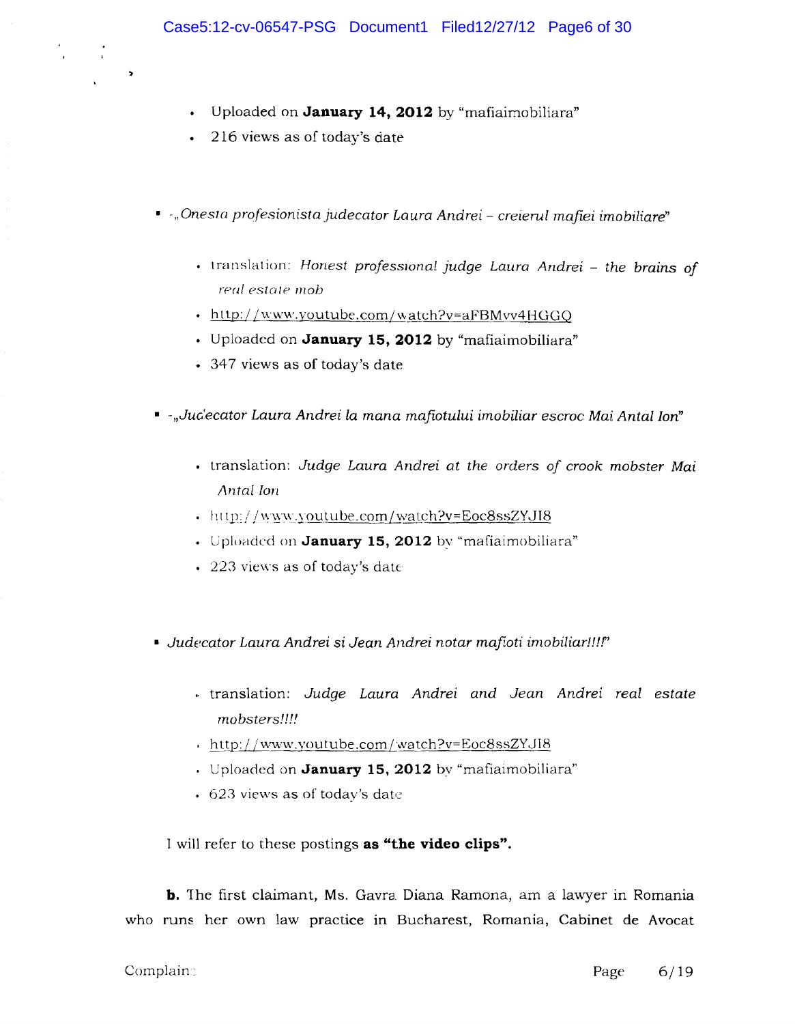- Uploaded on **January 14, 2012** by "mafiaimobiliara"
- 216 views as of today's date

 $\bar{\mathbf{r}}$ 

 $\rightarrow$ 

- $\cdot$  *, Onesta profesionista judecator Laura Andrei creierul mafiei imobiliare*"
	- translation: *Honest professional judge Lauro Andrei the broins of real estote mob*
	- http://www.youtube.com/watch?v=aFBMvv4HGGQ
	- Uploaded on **January 15, 2012** by "mafiaimobiliara"
	- 347 views as of today's date
- *-"Judecator Laura Andrei la mana mafiotului imobiliar escroc Mai Antal Ion"* 
	- translation: *Judge Lauro Andrei at the orders of crook mobster Mai Antal* Ion
	- http://www.youtube.com/watch?v=Eoc8ssZYJI8
	- Uploaded on January 15, 2012 by "mafiaimobiliara"
	- 223 views as of today's date
- **•** Judecator Laura Andrei si Jean Andrei notar mafioti imobiliar!!!!"
	- ,. translation: *Judge Lauro Andrei and Jean Andrei real estate mobsters!!!!*
	- , http://www.youtube.com/watch?v=Eoc8ssZYJI8
	- Uploaded on **January 15, 2012** by"mafiaimobiliara"
	- $623$  views as of today's date

I will refer to these postings **as "the video clips".** 

**b.** The first claimant, Ms. Gavra Diana Ramona, am a lawyer in Romania who runs her own law practice in Bucharest, Romania, Cabinet de Avocat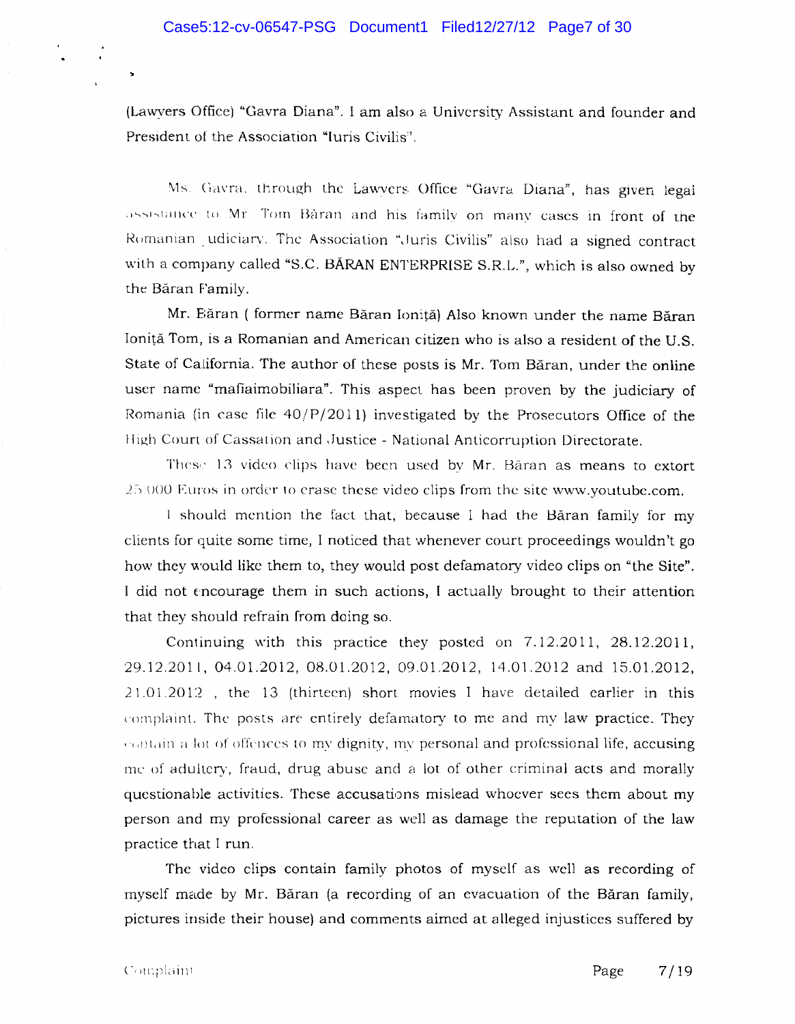(Lawyers Office) "Gavra Diana". I am also a University Assistant and founder and President of the Association "Iuris Civilis".

Ms. Gavra, through the Lawyers Office "Gavra Diana", has given legal assistance to Mr. Tom Baran and his family on many cases in front of the Romanian udiciary. The Association "Juris Civilis" also had a signed contract with a company called "S.C. BARAN ENTERPRISE S.R.L.", which is also owned by the Baran Family.

Mr. Băran ( former name Băran Ioniță) Also known under the name Băran Ionita Tom, is a Romanian and American citizen who is also a resident of the U.S. State of California. The author of these posts is Mr. Tom Băran, under the online user name "mafiaimobiliara". This aspect has been proven by the judiciary of Romania (in case file  $40/P/2011$ ) investigated by the Prosecutors Office of the High Court of Cassation and Justice - National Anticorruption Directorate.

These 13 video clips have been used by Mr. Băran as means to extort ..2~) U()U Euros in order 10 crase these video clips from the site www.youtube.com.

I should mention the fact that, because I had the Baran family for my clients for quite some time, I noticed that whenever court proceedings wouldn't go how they would like them to, they would post defamatory video clips on "the Site". I did not encourage them in such actions, I actually brought to their attention that they should refrain from doing so.

Continuing with this practice they posted on 7.12.2011, 28.12.2011, 29.12.2011, 04,0l.2012, 08.0l.2012, 09.01.2012, 14.01.2012 and 15.0l.2012, 21.01.201:2 , the 13 (thirteen) short movies I have detailed earlier in this complaint. The posts are entirely defamatory to me and my law practice. They contain a lot of offences to my dignity, my personal and professional life, accusing me of adultery, fraud, drug abuse and a lot of other criminal acts and morally questionable activities. These accusations mislead whoever sees them about my person and my professional career as well as damage the reputation of the law practice that I run.

The video clips contain family photos of myself as well as recording of myself made by Mr. Baran (a recording of an evacuation of the Baran family, pictures inside their house) and comments aimed at alleged injustices suffered by

..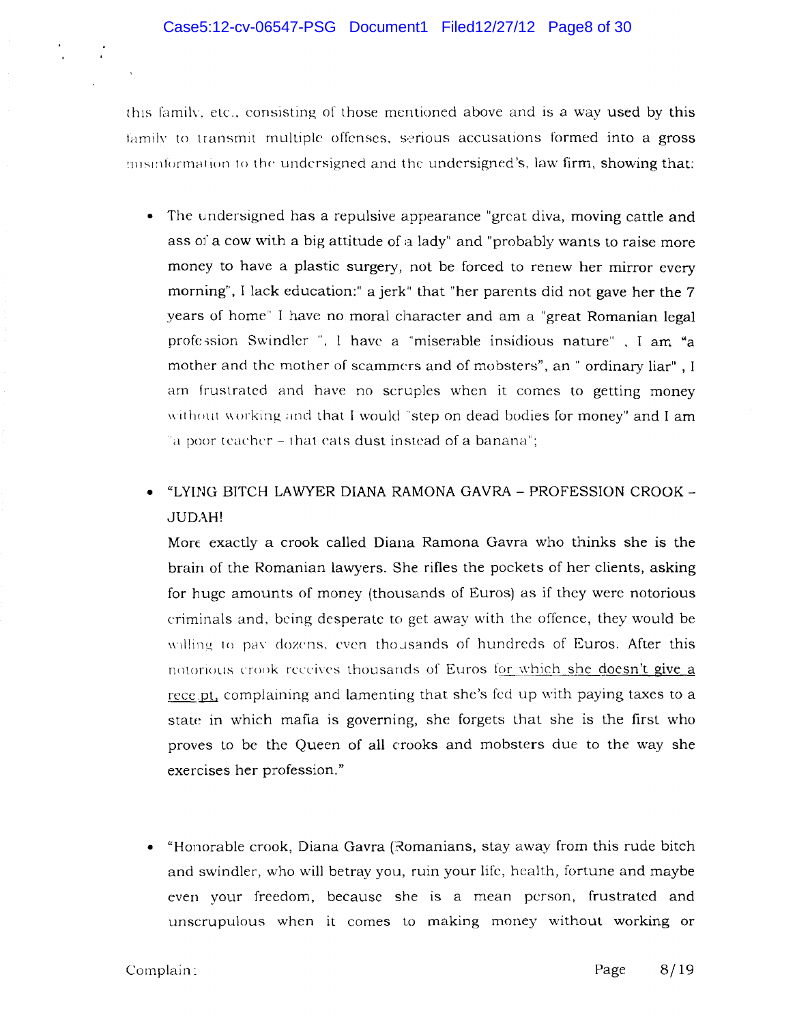this family, etc., consisting of those mentioned above and is a way used by this family to transmit multiple offenses, serious accusations formed into a gross misinformation to the undersigned and the undersigned's, law firm, showing that:

- The undersigned has a repulsive appearance "great diva, moving cattle and ass of a cow with a big attitude of a lady" and "probably wants to raise more money to have a plastic surgery, not be forced to renew her mirror every morning", I lack education:" a jerk" that "her parents did not gave her the 7 years of home" I have no moral character and am a "great Romanian legal profession Swindler ". I have a "miserable insidious nature" . I am "a mother and the mother of scammers and of mobsters", an " ordinary liar", I arn frustrated and have no scruples when it comes to getting money without working and that I would "step on dead bodies for money" and I am 'a poor teacher  $-$  that eats dust instead of a banana";
- "LYING BITCH LAWYER DIANA RAMONA GAVRA PROFESSION CROOK-JUDAH!

Marc exactly a crook called Diana Ramona Gavra who thinks she is the brain of the Romanian lawyers. She rifles the pockets of her clients, asking for huge amounts of money (thousands of Euros) as if they were notorious criminals and. being desperate to get away with the offence, they would be willing to pay dozens, even thousands of hundreds of Euros. After this notorious crook receives thousands of Euros for which she doesn't give a rece pt, complaining and lamenting that she's fed up with paying taxes to a state in which mafia is governing, she forgets that she is the first \vho proves to be the Queen of all crooks and mobsters due to the way she exercises her profession."

• "Honorable crook, Diana Gavra (Romanians, stay away from this rude bitch and swindler, who will betray you, ruin your life, health, fortune and maybe even your freedom, because she is a mean person, frustrated and unscrupulous when it comes to making money without working or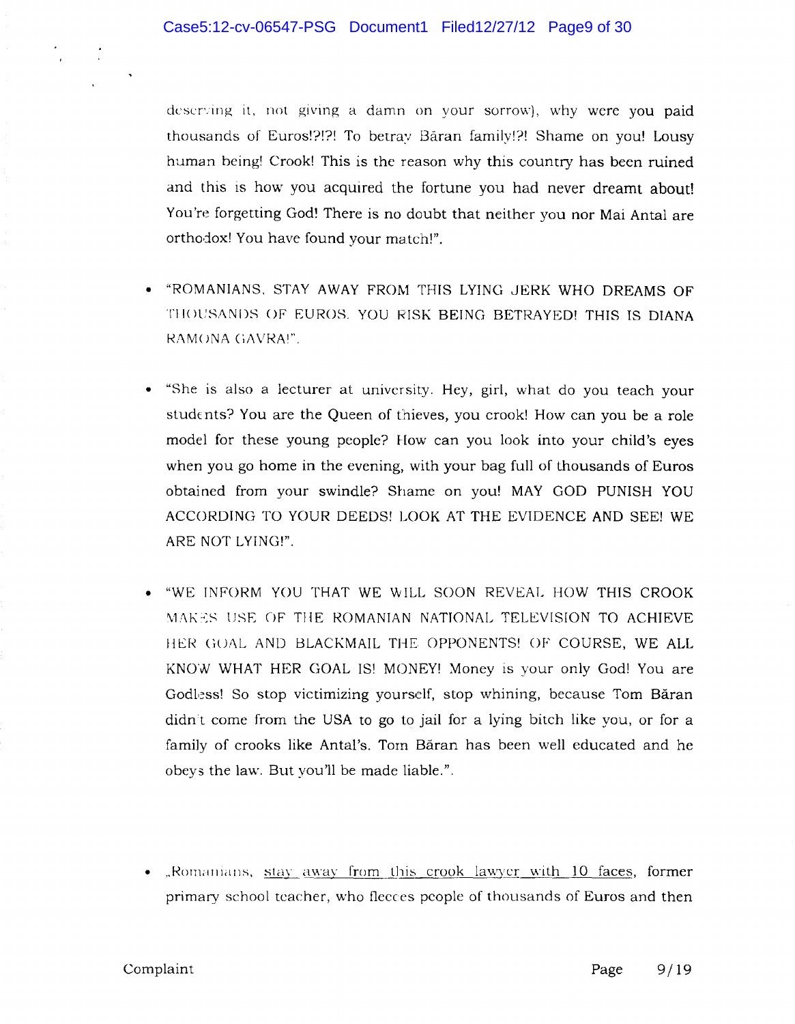deserving it, not giving a damn on your sorrow), why were you paid thousands of Euros!?!?! To betray Baran family!?! Shame on you! Lousy human being! Crook! This is the reason why this country has been ruined and this is how you acquired the fortune you had never dreamt about! You're forgetting God! There is no doubt that neither you nor Mai Antal are orthodox! You have found your match!".

- "ROMANIANS. STAY AWAY FROM THIS LYING JERK WHO DREAMS OF THOUSANDS OF EUROS. YOU RISK BEING BETRAYED! THIS IS DIANA RAMONA (iAVRAI".
- "She is also a lecturer at university. Hey, girl, what do you teach your students? You are the Queen of thieves, you crook! How can you be a role model for these young people? How can you look into your child's eyes when you go home in the evening, with your bag full of thousands of Euros obtained from your swindle? Shame on you! MAY GOD PUNISH YOU ACCORDING TO YOUR DEEDS! LOOK AT THE EVIDENCE AND SEE! WE ARE NOT LYING!".
- "WE INFORM YOU THAT WE WILL SOON REVEAL HOW THIS CROOK MAKES USE OF THE ROMANIAN NATIONAL TELEVISION TO ACHIEVE HER GOAL AND BLACKMAIL THE OPPONENTS! OF COURSE, WE ALL KNOW WHAT HER GOAL IS! MONEY! Money is your only God! You are Godless! So stop victimizing yourself, stop whining, because Tom Băran didn't come from the USA to go to jail for a lying bitch like you, or for a family of crooks like Antal's. Torn Baran has been well educated and he obeys the law. But you'll be made liable.".
- "Romanians, stay away from this crook lawyer with 10 faces, former primary school tcacher, who fleeces people of thousands of Euros and then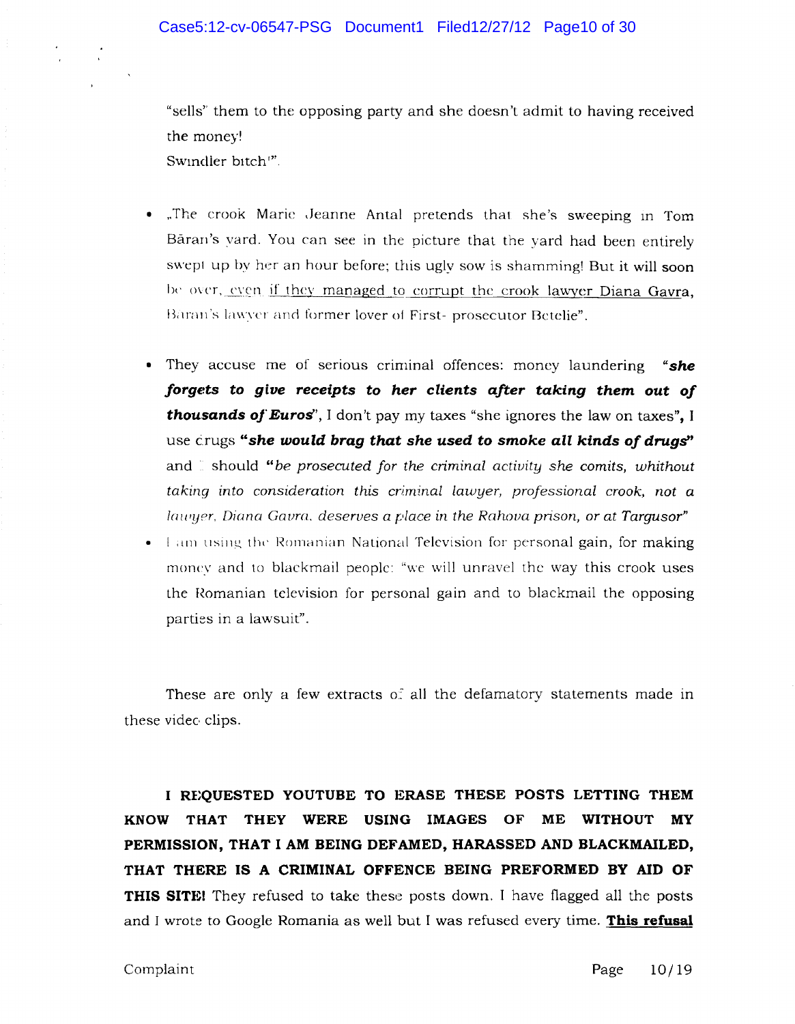"sells" them to the opposing party and she doesn't admit to having received the money! Swindler bitch<sup>17</sup>.

• The crook Maric Jeanne Antal pretends that she's sweeping in Tom Baran's vard. You can see in the picture that the yard had been entirely swept up by her an hour before; this ugly sow is shamming! But it will soon be over, even if they managed to corrupt the crook lawyer Diana Gavra, Båran's lawyer and former lover of First- prosecutor Betelie".

- They accuse me of senous criminal offences: money laundering *"she forgds* **to** *give receipts* **to** *her clients after taking them out of thousands oj'Euros',* I don't pay my taxes "she ignores the law on taxes", I use crugs *"she would brag that she used* **to** *smoke all kinds of drugs"*  and should "be *prosecuted for the criminal activity she comits, whithout taking into consideration this criminal lawyer, professional crook, not a lawyer, Diana Gavra, deserves a place in the Rahova prison, or at Targusor*"
- I am using the Romanian National Television for personal gain, for making money and to blackmail people: "we will unravel the way this crook uses the Romanian television for personal gain and to blackmail the opposing parties in a lawsuit".

These are only a few extracts of all the defamatory statements made in these video clips.

**I RE;QUESTED YOUTUBE TO ERASE THESE POSTS LETTING THEM KNOW THAT THEY WERE USING IMAGES OF ME WITHOUT MY PERMISSION, THAT I AM BEING DEFAMED, HARASSED AND BLACKMAILED, THAT THERE IS A CRIMINAL OFFENCE BEING PREFORMED BY AID OF THIS SITE!** They refused to take these posts down. I have flagged all the posts and I wrote to Google Romania as well but I was refused every time. **This refusal**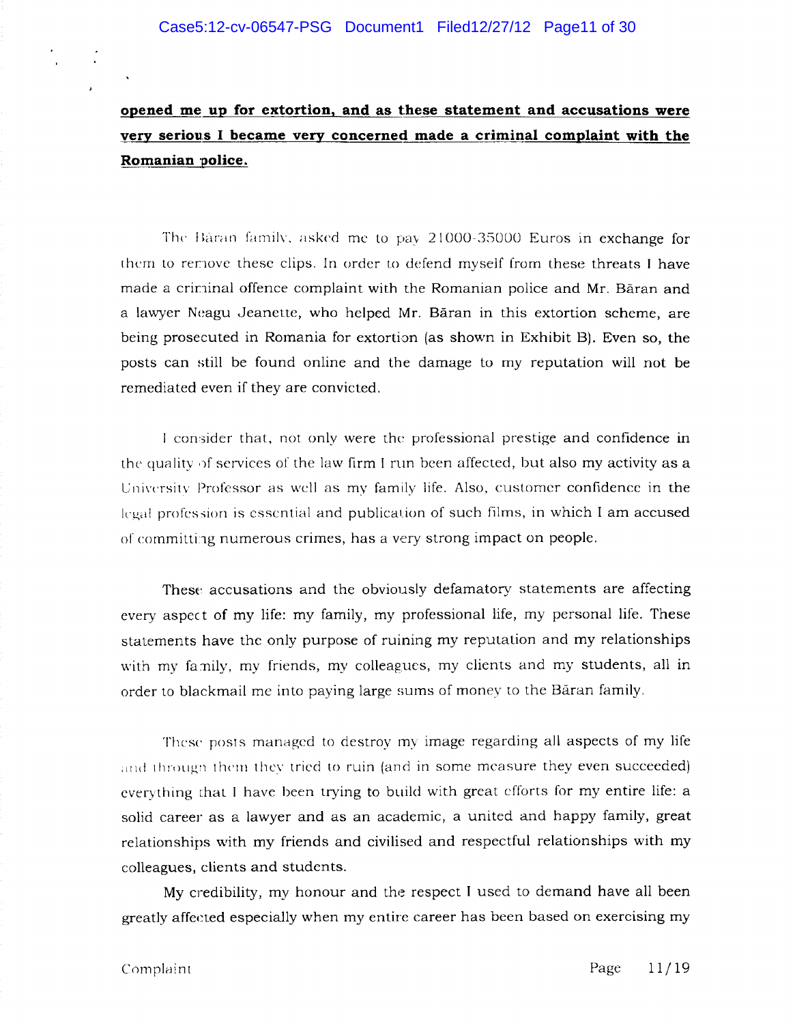**opened me up for extortion, and as these statement and accusations were**  very serious I became very concerned made a criminal complaint with the **Romanian ·police.** 

The Baran family, asked me to pay 21000-35000 Euros in exchange for them to remove these clips. In order to defend myself from these threats I have made a criminal offence complaint with the Romanian police and Mr. Băran and a lawyer Neagu Jeanette, who helped Mr. Baran in this extortion scheme, are being prosecuted in Romania for extortion (as shown in Exhibit B). Even so, the posts can still be found online and the damage to my reputation will not be remediated even if they are convicted.

I consider that, not only were the professional prestige and confidence in the quality of services of the law firm I run been affected, but also my activity as a University Professor as well as my family life. Also, customer confidence in the legal profession is essential and publication of such films, in which I am accused of committing numerous crimes, has a very strong impact on people.

These accusations and the obviously defamatory statements are affecting every aspect of my life: my family, my professional life, my personal life. These statements have the only purpose of ruining my reputation and my relationships with my family, my friends, my colleagues, my clients and my students, all in order to blackmail me into paying large sums of money to the Baran family.

These posts managed to destroy my image regarding all aspects of my life and through them they tried to ruin (and in some measure they even succeeded) everything that I have been trying to build with great efforts for my entire life: a solid career as a lawyer and as an academic, a united and happy family, great relationships with my friends and civilised and respectful relationships with my colleagues, clients and students.

My credibility, my honour and the respect I used to demand have all been greatly affected especially when my entire career has been based on exercising my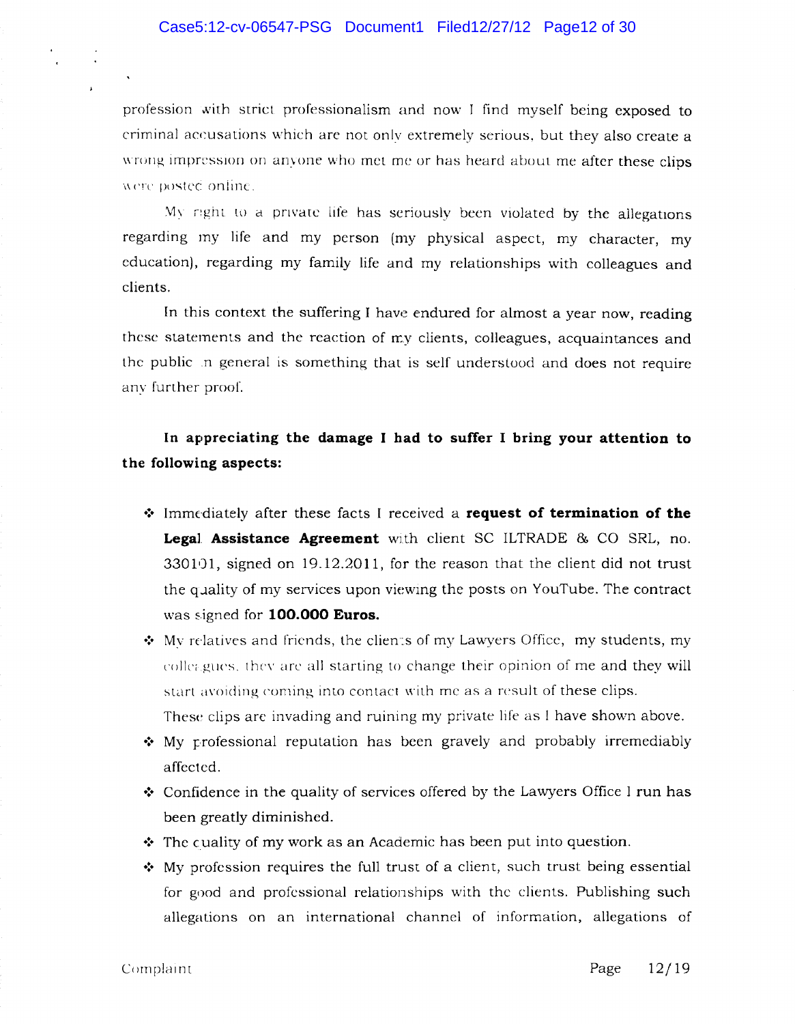profession with strict professionalism and now I find myself being exposed to criminal accusations which are not only extremely serious, but they also create a wrong impression on anyone who met me or has heard about me after these clips were posted online.

My right to a private life has seriously been violated by the allegations regarding my life and my person (my physical aspect, my character, my education), regarding my family life and my relationships with colleagues and clients.

In this context the suffering I have endured for almost a year now, reading these statements and the reaction of rry clients, colleagues, acquaintances and the public ,n general is something that is self understood and does not require any funher proof.

# **In appreciating the damage I had to suffer I bring your attention to the following aspects:**

- $\cdot$  Immediately after these facts I received a **request of termination of the Legal Assistance Agreement** wlth client SC ILTRADE & CO SRL, no. 330101, signed on 19.12.2011, for the reason that the client did not trust the quality of my services upon viewing the posts on YouTube. The contract was signed for **100.000 Euros.**
- \* My relatives and friends, the clien:s of my Lawyers Office, my students, my colleagues, they are all starting to change their opinion of me and they will start avoiding coming into contact with me as a result of these clips. These clips are invading and ruining my private life as I have shown above.
- My professional reputation has been gravely and probably irremediably affected .
- Confidence in the quality of services offered by the Lawyers Office I run has been greatly diminished.
- **↓** The cuality of my work as an Academic has been put into question.
- $\dots$  My profession requires the full trust of a client, such trust being essential for good and professional relationships with the clients. Publishing such allegations on an international channel of information, allegations of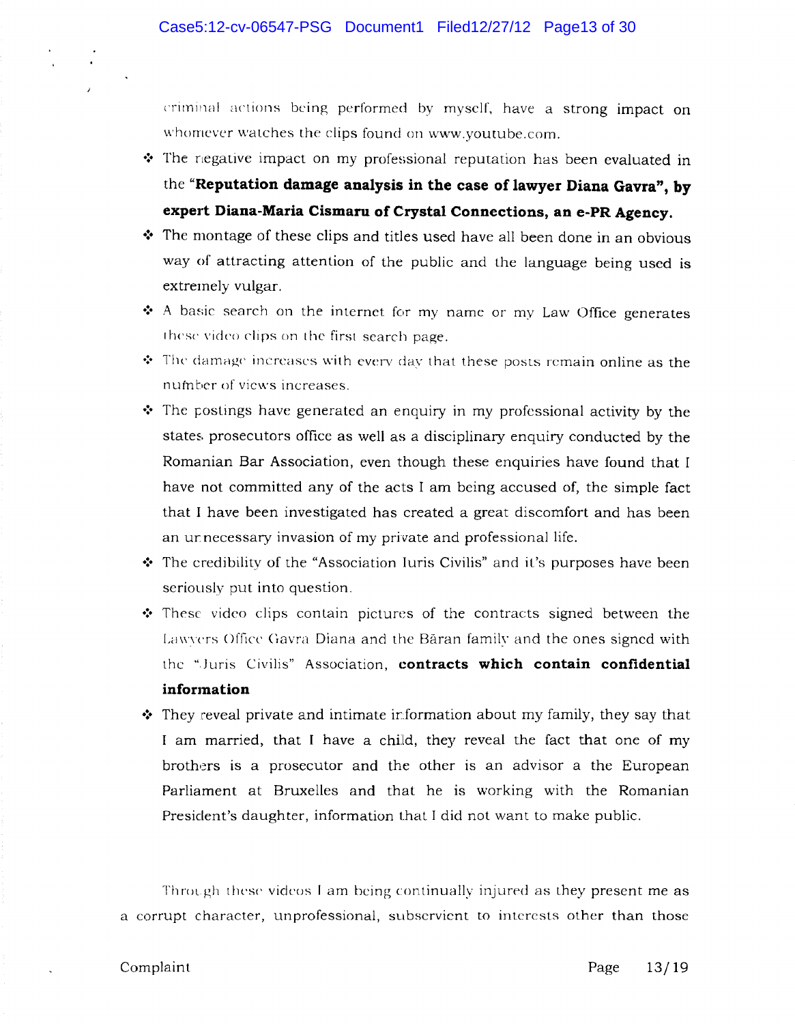eriminal actions being performed by myself, have a strong impact on whomever watches the clips found on www.youtube.com.

- The negative impact on my professional reputation has been evaluated in the "Reputation damage analysis in the case of lawyer Diana Gavra", by **expert Diana-Maria Cismaru of Crystal Connections, an e-PR Agency .**
- **•** The montage of these clips and titles used have all been done in an obvious way of attracting attention of the public and the language being used is extremely vulgar.
- **•** A basic search on the internet for my name or my Law Office generates these video clips on the first search page.
- $\div$  The damage increases with every day that these posts remain online as the number of views increases.
- The postings have generated an enquiry in my professional activity by the states prosecutors office as well as a disciplinary enquiry conducted by the Romanian Bar Association, even though these enquiries have found that I have not committed any of the acts I am being accused of, the simple fact that I have been investigated has created a great discomfort and has been an ur necessary invasion of my private and professional life.
- **↑** The credibility of the "Association Iuris Civilis" and it's purposes have been seriously put into question.
- These video clips contain pictures of the contracts signed between the Lawyers Office Gavra Diana and the Băran family and the ones signed with the ",Juris Civilis" Association, **contracts which contain confidential information**
- They reveal private and intimate information about my family, they say that I am married, that I have a child, they reveal the fact that one of my brothers is a prosecutor and the other is an advisor a the European Parliament at Bruxelles and that he is working with the Romanian President's daughter, information that I did not want to make public.

Through these videos I am being continually injured as they present me as a corrupt character, unprofessional, subservient to interests other than those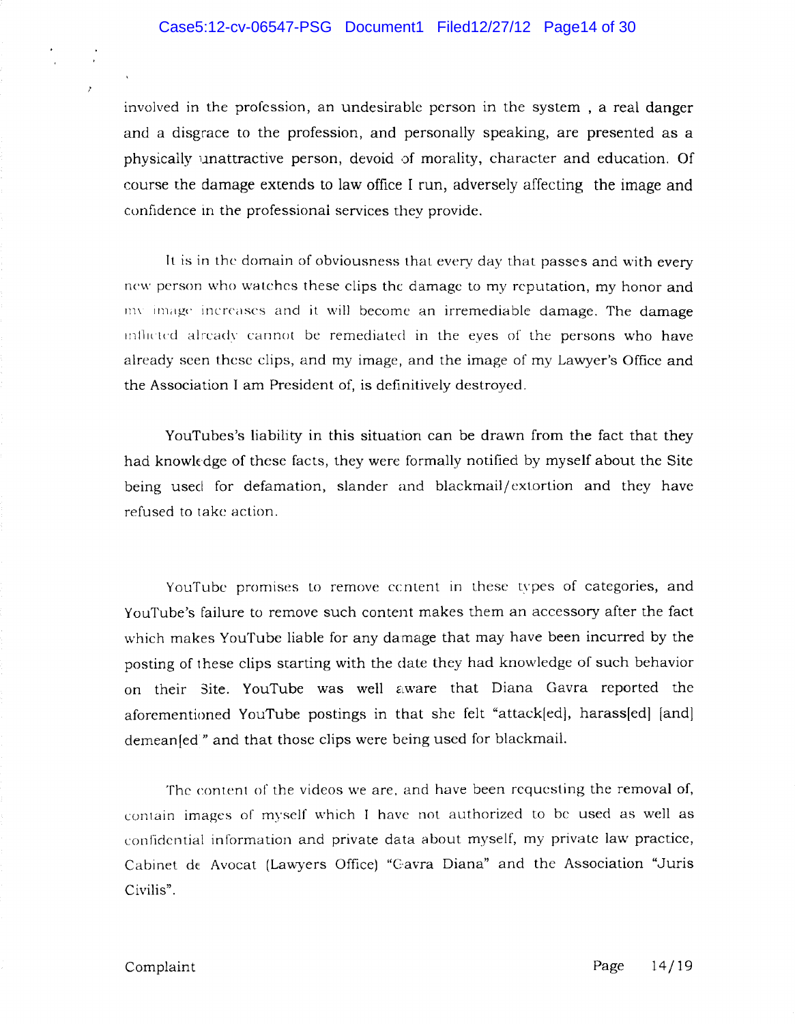involved in the profession, an undesirable person in the system, a real danger and a disgrace to the profession, and personally speaking, are presented as a physically unattractive person, devoid of morality, character and education, Of course the damage extends to law office I run, adversely affecting the image and confidence in the professional services they provide.

It is in the domain of obviousness that every day that passes and with every new person who watches these clips the damage to my reputation, my honor and  $mv$  image increases and it will become an irremediable damage. The damage inflicted already cannot be remediated in the eyes of the persons who have already seen these clips, and my image, and the image of my Lawyer's Office and the Association I am President of, is definitively destroyed.

YouTubes's liability in this situation can be drawn from the fact that they had knowkdge of these facts, they were formally notified by myself about the Site being used for defamation, slander and blackmail/ extortion and they have refused to take action.

YouTube promises to remove content in these types of categories, and YouTube's failure to remove such content makes them an accessory after the fact which makes YouTube liable for any damage that may have been incurred by the posting of these clips starting with the date they had knowledge of such behavior on their Site. YouTube was well aware that Diana Gavra reported the aforementioned YouTube postings in that she felt "attack[ed], harass[ed] [and] demean[ed" and that those clips were being used for blackmail.

The content of the videos we are, and have been requesting the removal of, contain images of myself which I have not authorized to be used as well as confidential information and private data about myself, my private law practice, Cabinet de Avocat (Lawyers Office) "Cavra Diana" and the Association "Juris Civilis".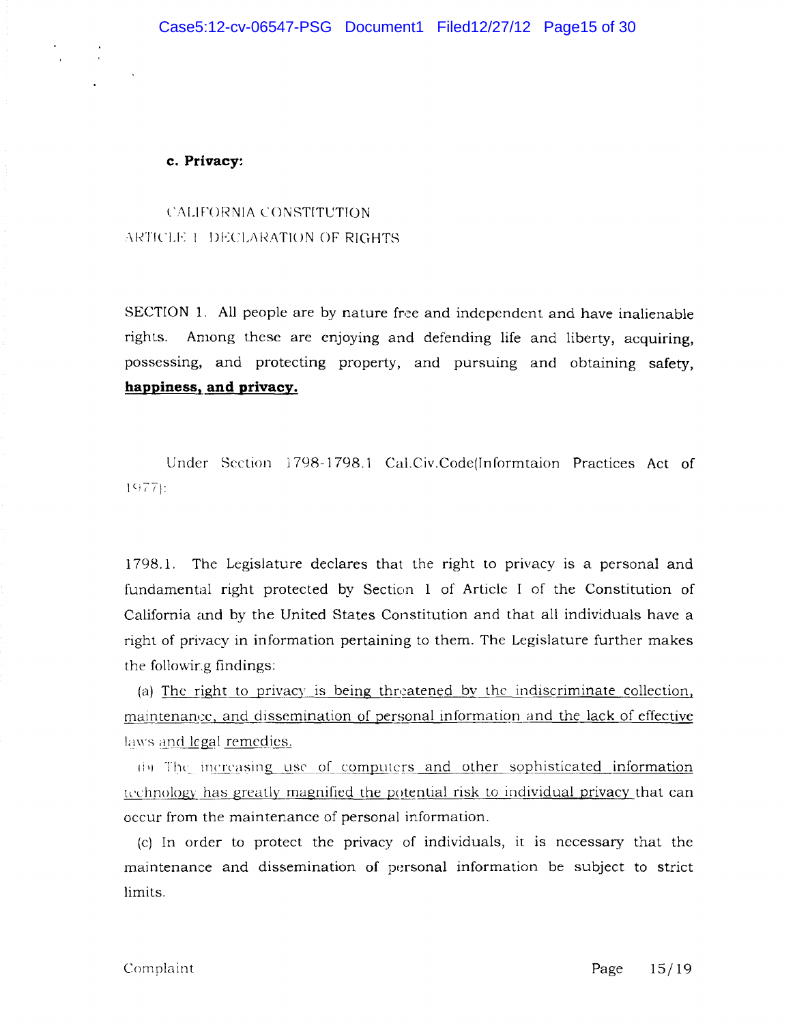**c. Privacy:** 

CALIFORNIA CONSTITUTION ARTICLE 1 DECLARATION OF RIGHTS

SECTION 1. All people are by nature free and independent and have inalienable rights. Among these are enjoying and defending life and liberty, acquiring, possessing, and protecting property, and pursuing and obtaining safety, **happiness, and privacy.** 

Under Section 1798-1798.1 Cal.Civ.Code(Informtaion Practices Act of  $1977$ :

1798.1. The Legislature declares that the right to privacy is a personal and fundamental right protected by Section 1 of Article I of the Constitution of California and by the United States Constitution and that all individuals have a right of privacy in information pertaining to them. The Legislature further makes the followir.g findings:

(a) The right to privacy is being threatened by the indiscriminate collection, maintenance, and dissemination of personal information and the lack of effective laws and  $\log a$  remedies.

(b) The increasing use of computers and other sophisticated information technology has greatly magnified the potential risk to individual privacy that can occur from the maintenance of personal information.

(cl In order to protect the privacy of individuals, it is necessary that the maintenance and dissemination of personal information be subject to strict limits.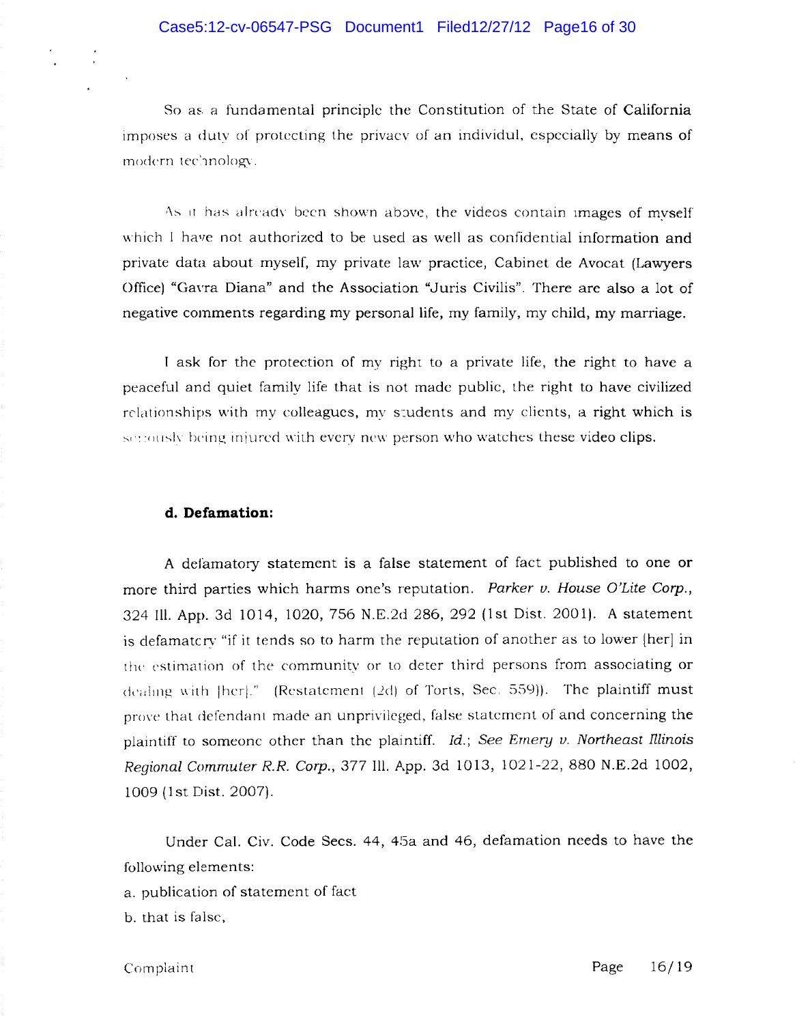So as a fundamental principle the Constitution of the State of California lmposes a dutv of protecting the privacv of an individul, especially by means of modern technology.

As it has already been shown above, the videos contain images of myself which I have not authorized to be used as well as confidential information and private data about myself, my private law practice, Cabinet de Avocat (Lawyers Office) "Gavra Diana" and the Association "Juris Civilis". There are also a lot of negative comments regarding my personal life, my family, my child, my marriage.

I ask for the protection of my right to a private life, the right to have a peaceful and quiet family life that is not made public, the right to have civilized relationships with my colleagues, my students and my clients, a right which is corrected being injured with every new person who watches these video clips.

## **d. Defamation:**

A defamatory statement is a false statement of fact published to one or more third parties which harms one's reputation. Parker v. House O'Lite Corp., 324 Ill. App. 3d 1014, 1020,756 N.E.2d 286, 292 (1st Dist. 2001). A statement is defamatcry "if it tends so to harm the reputation of another as to lower [her] in the estimation of the community or to deter third persons from associating or dealing with Iherl." (Restatement (2d) of Torts, Sec. 559)). The plaintiff must prove that defendant made an unprivileged, false statement of and concerning the plaintiff to someone other than the plaintiff.  $Id.$ ; See Emery v. Northeast Illinois Regional Commuter *R.R.* Corp., 377 Ill. App. 3d 1013, 1021-22, 880 N.E.2d 1002, 1009 (1st Dist. 2007).

Under Cal. Civ. Code Sees. 44, 45a and 46, defamation needs to *have* the following elements:

a. publication of statement of faet

b. that is false,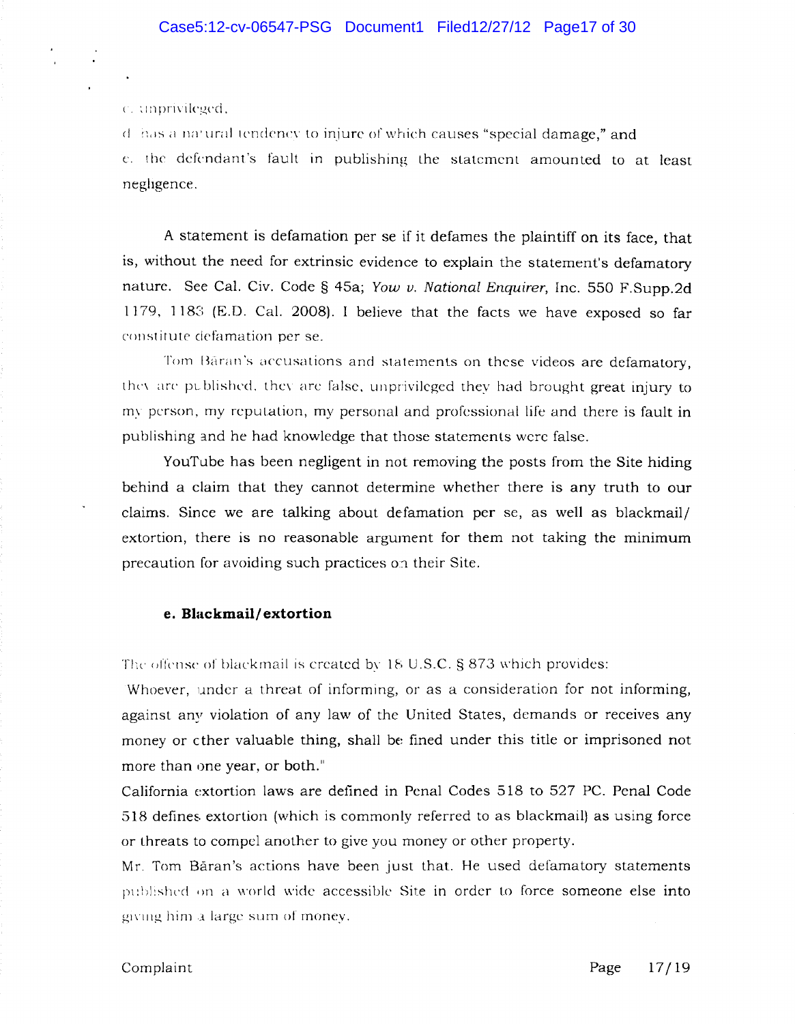c. unprivileged,

 $d$ : has a natural tendency to injure of which causes "special damage," and t:. the defendant's fault in publishing the statement amounted to at least neghgence.

A statement is defamation per se if it defames the plaintiff on its face, that is, without the need for extrinsic evidence to explain the statement's defamatory nature. See Cal. Civ. Code § 45a; Yow v. National Enquirer, Inc. 550 F. Supp. 2d 1179, 1183 (E.D. Cal. 2008). I believe that the facts we have exposed so far constitute defamation per se.

Tom Băran's accusations and statements on these videos are defamatory, they are published, they are false, unprivileged they had brought great injury to my person, my reputation, my personal and professional life and there is fault in publishing and he had knowledge that those statements were false.

YouTube has been negligent in not removing the posts from the Site hiding behind a claim that they cannot determine whether there is any truth to our claims. Since we are talking about defamation per se, as well as blackmail/ extortion, there is no reasonable argument for them not taking the minimum precaution for avoiding such practices on their Site.

### **e. Blackmail/extortion**

The offense of blackmail is created by  $18 \text{ U.S.C.}$  § 873 which provides:

Whoever, under a threat of informing, or as a consideration for not informing, against any violation of any law of the United States, demands or receives any money or ether valuable thing, shall be fined under this title or imprisoned not more than one year, or both."

California extortion laws are detined in Penal Codes 518 to 527 PC. Penal Code 518 defines extortion (which is commonly referred to as blackmail) as using force or threats to compel another to give you money or other property.

Mr. Tom Baran's actions have been just that. He used defamatory statements published on a world wide accessible Site in order to force someone else into giving him a large sum of money.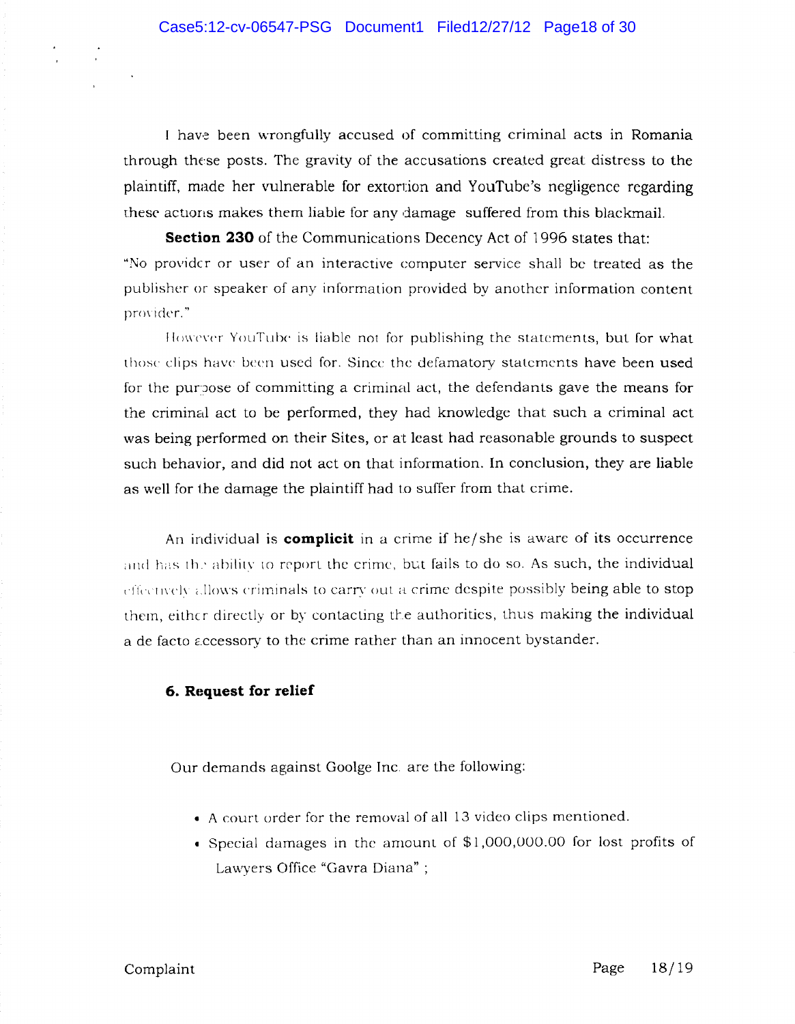I have been wrongfully accused of committing criminal acts in Romania through these posts. The gravity of the accusations created great distress to the plaintiff, made her vulnerable for extortion and YouTube's negligence regarding these actions makes them liable for any damage suffered from this blackmail.

**Section 230** of the Communications Decency Act of 1996 states that: "No provider or user of an interactive computer service shall be treated as the publisher or speaker of any information provided by another information content provider."

However YouTube is liable not for publishing the statements, but for what those clips have been used for. Since the defamatory statements have been used for the purpose of committing a criminal act, the defendants gave the means for the criminal act to be performed, they had knowledge that such a criminal act was being performed on their Sites, or at least had reasonable grounds to suspect such behavior, and did not act on that information. In conclusion, they are liable as well for the damage the plaintiff had to suffer from that crime.

An individual is **complicit** in a crime if he/she is aware of its occurrence and has the ability to report the crime, but fails to do so. As such, the individual effectively allows criminals to carry out a crime despite possibly being able to stop them, either directly or by contacting the authorities, thus making the individual a de facto accessory to the crime rather than an innocent bystander.

## **6. Request for relief**

Our demands against Goolge Inc. are the following:

- A court order for the removal of all 13 video clips mentioned .
- Special damages in the amount of \$1,000,000.00 for lost profits of Lawyers Office "Gavra Diana" ;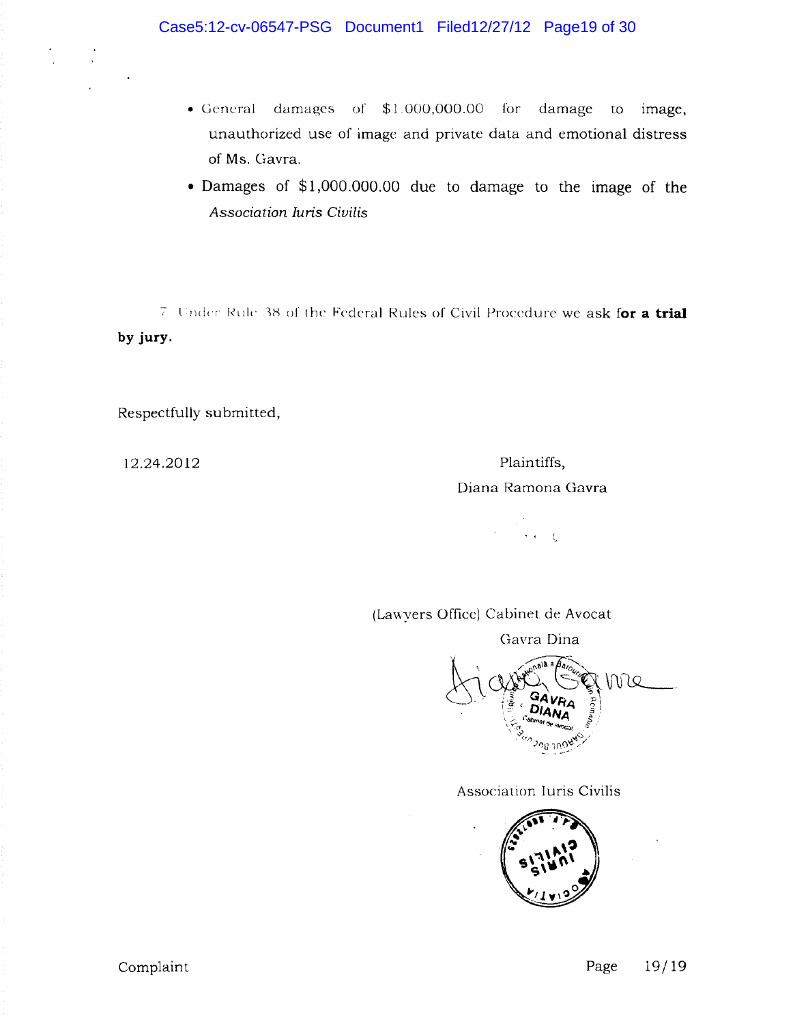- General damages of \$1.000,000.00 for damage to image, unauthorized use of image and private data and emotional distress of Ms. Gavra.
- Damages of \$1,000.000.00 due to damage to the image of the *Association Juris Civilis*

 $7$  Under Rule 38 of the Federal Rules of Civil Procedure we ask for a trial **by jury.** 

Respectfully submitted,

12.24.2012 Plaintiffs, Diana Ramona Gavra

 $\gamma$  -  $\gamma$  -  $\zeta$ 

(Lawyers Office) Cabinet de Avocat

Gavra Dina



Association Iuris Civilis

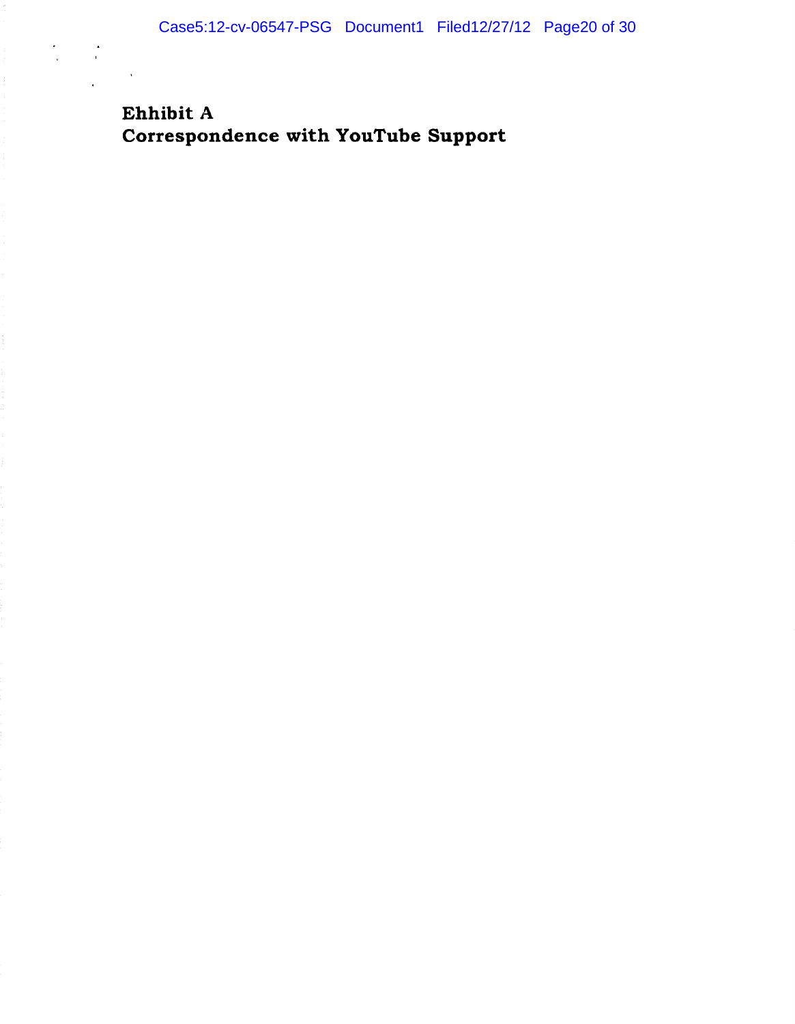# Ehhibit A Correspondence with YouTube Support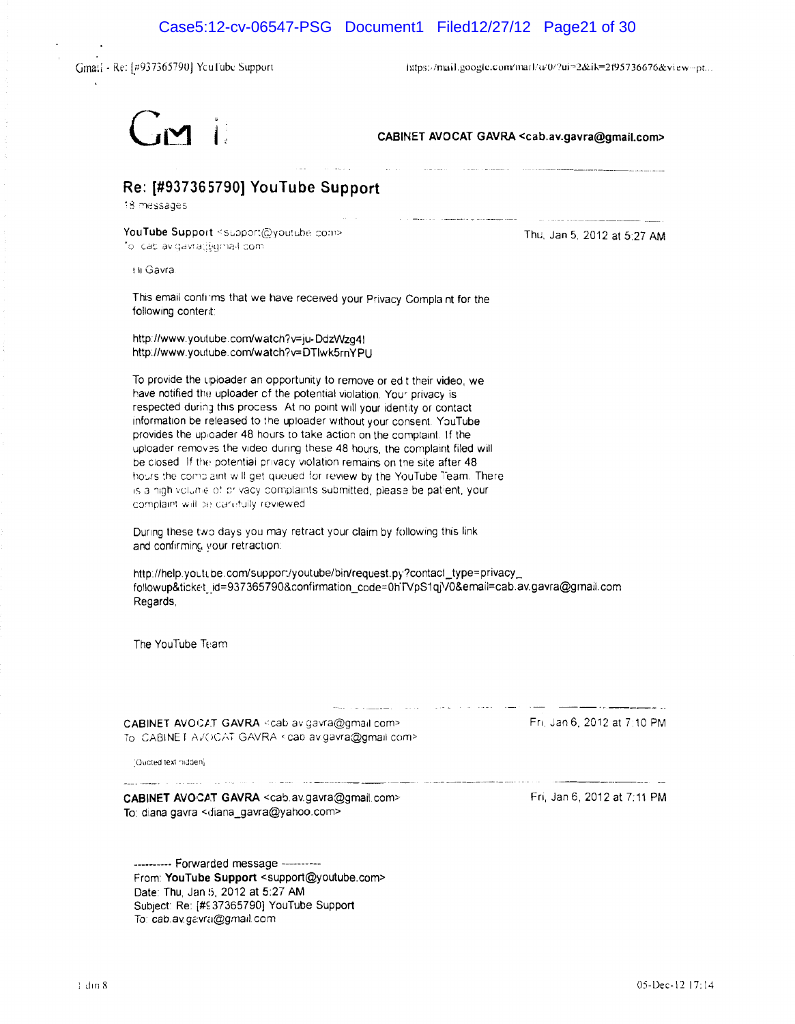$\sim 10^{11}$  km s  $^{-1}$ 

Gmail - Re: [#937365790] YouTube Support

 $\ddot{\phantom{a}}$ 

https://mail.google.com/mail/w0/?ui=2&ik=2f95736676&view--pt...



CABINET AVOCAT GAVRA <cab.av.gavra@gmail.com>

# Re: [#937365790] YouTube Support

18 messages

YouTube Support <support@youtube.com> foll cab avigavraci/qmail.com

Thu, Jan 5, 2012 at 5:27 AM

til Gavra

This email confirms that we have received your Privacy Complaint for the following conterit:

http://www.youtube.com/watch?v=ju-DdzWzq4) http://www.youtube.com/watch?v=DTlwk5rnYPU

To provide the uploader an opportunity to remove or ed t their video, we have notified the uploader of the potential violation. Your privacy is respected during this process. At no point will your identity or contact information be released to the uploader without your consent. YouTube provides the uploader 48 hours to take action on the complaint. If the uploader removes the video during these 48 hours, the complaint filed will be closed. If the potential privacy violation remains on the site after 48. hours the complaint will get queued for review by the YouTube Team. There is a high volume of privacy complaints submitted, please be patient, your complaint will be carefully reviewed.

During these two days you may retract your claim by following this link and confirming your retraction:

http://help.youtube.com/support/youtube/bin/request.py?contact\_type=privacy\_ followup&ticket\_id=937365790&confirmation\_code=0hTVpS1qjV0&email=cab.av.gavra@gmail.com Regards,

The YouTube Team

CABINET AVOCAT GAVRA <cab av gavra@gmail.com> To CABINET AVOCAT GAVRA < cap av.gavra@gmail.com> Fri, Jan 6, 2012 at 7:10 PM

"Quoted text midden)

CABINET AVOCAT GAVRA <cab.av.gavra@gmail.com> To: diana gavra <diana\_gavra@yahoo.com>

**Carl Andrometers** 

--------- Forwarded message ----------From: YouTube Support <support@youtube.com> Date: Thu, Jan 5, 2012 at 5:27 AM Subject: Re: [#937365790] YouTube Support To: cab.av.gavra@gmail.com

Fri, Jan 6, 2012 at 7:11 PM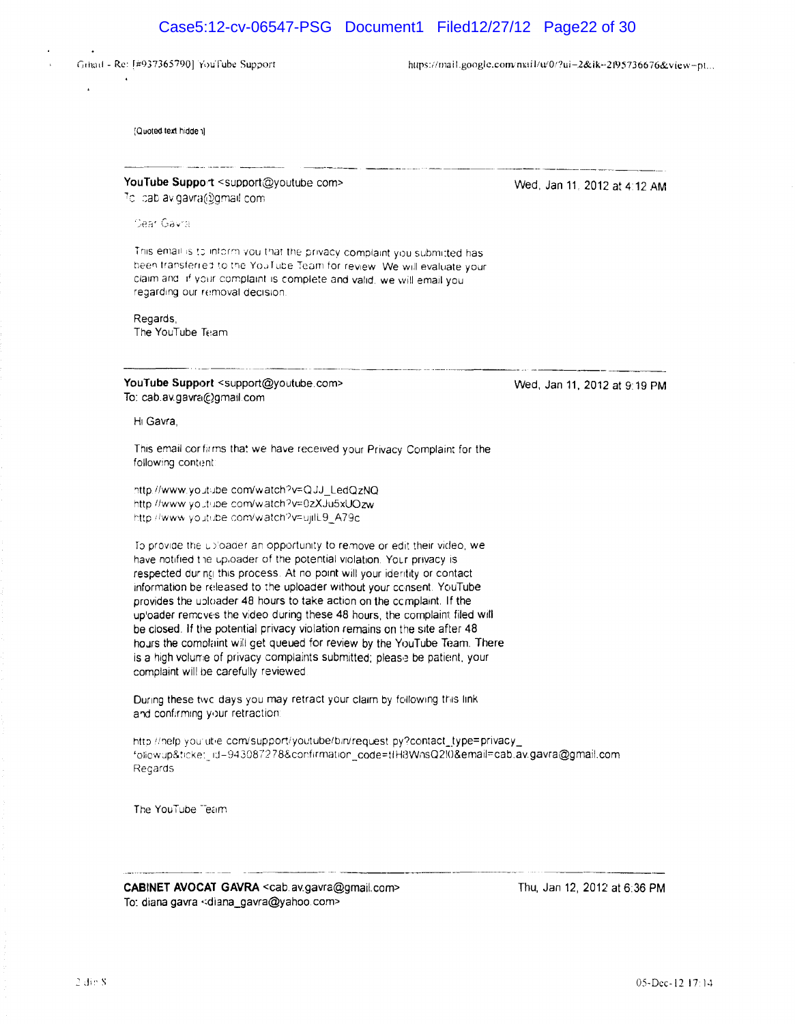# Case5:12-cv-06547-PSG Document1 Filed12/27/12 Page22 of 30

Grhad - Re: [#937365790] YouTube Support

https://mail.google.com/mail/u/0/?ui-2&ik-2195736676&view-pt...

(Quoted text hidden)

 $\overline{a}$ 

# YouTube Support <support@youtube.com>

To loab avigavra@gmail.com

**Sear Gavra** 

This email is to inform you that the privacy complaint you submitted has been transferred to the YouTube Team for review. We will evaluate your claim and if your complaint is complete and valid, we will email you regarding our removal decision.

#### Regards.

The YouTube Team

YouTube Support <support@youtube.com> To: cab.av.gavra@gmail.com

Wed, Jan 11, 2012 at 4:12 AM

Wed, Jan 11, 2012 at 9:19 PM

#### Hi Gavra.

This email confirms that we have received your Privacy Complaint for the following content:

http://www.youtube.com/watch?v=QJJ\_LedQzNQ http://www.youtube.com/watch?v=0zXJu5xUOzw http://www.youtube.com/watch?v=ujilL9\_A79c.

To provide the uploader an opportunity to remove or edit their video, we have notified the uploader of the potential violation. Your privacy is respected during this process. At no point will your identity or contact information be released to the uploader without your consent. YouTube provides the uploader 48 hours to take action on the complaint. If the uploader removes the video during these 48 hours, the complaint filed will be closed. If the potential privacy violation remains on the site after 48 hours the complaint will get queued for review by the YouTube Team. There is a high volume of privacy complaints submitted; please be patient, your complaint will be carefully reviewed.

During these two days you may retract your claim by following this link and confirming your retraction:

http://nelp.yourut/e.com/support/youtube/bin/request.py?contact\_type=privacy\_ followup&ticket\_id=943087278&confirmation\_code=tIH8WnsQ2l0&email=cab.av.gavra@gmail.com Regards

The YouTube Team

CABINET AVOCAT GAVRA <cab.av.gavra@gmail.com> To: diana gavra <diana\_gavra@yahoo.com>

Thu, Jan 12, 2012 at 6:36 PM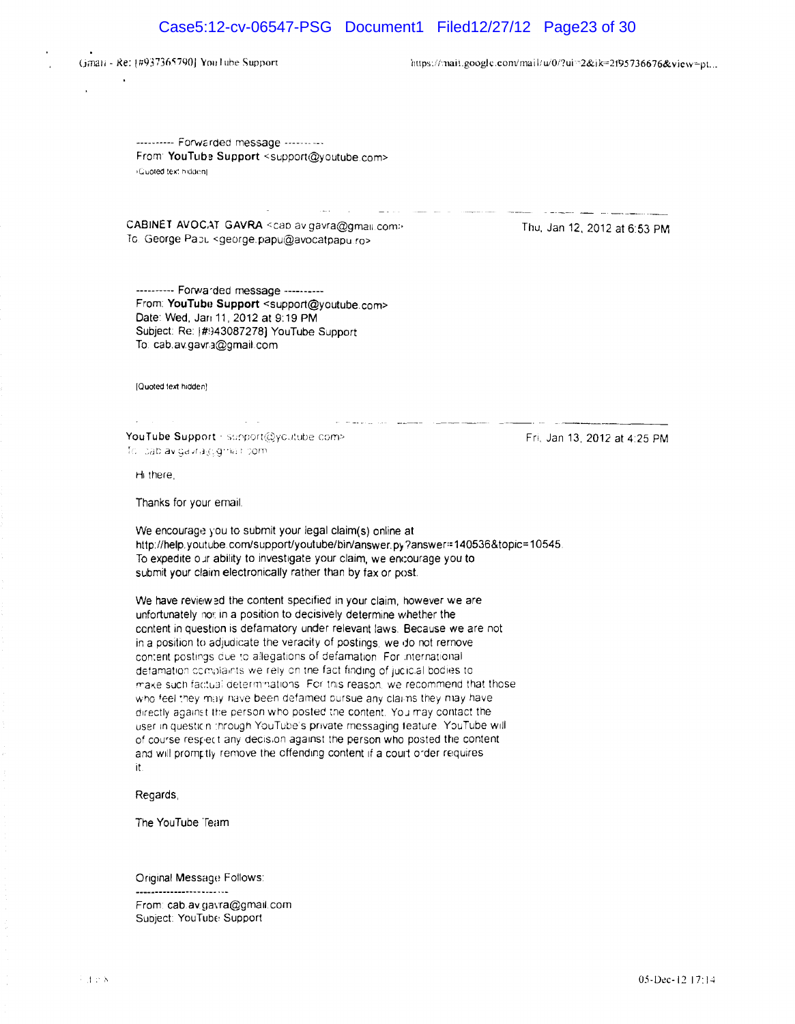# Case5:12-cv-06547-PSG Document1 Filed12/27/12 Page23 of 30

(Jmali - Re: 1#937365790] You Jube Support limit is a command a limit of *https://mall.google.com/mall/w0/?ui=2&ik=2195736676&view+pt...* 

---------- Forwarded message ------- ---From: YouTube Support <support@youtube.com> (Guoted text hidden)

CABINET AVOCAT GAVRA <cap av gavra@gmail.com> To George Papu <george.papu@avocatpapu.ro>

المعد

Thu, Jan 12, 2012 at 6:53 PM

---------- Forwa'ded message ---------- From: YouTube Support <support@youtube.com> Date: Wed, Jan 11, 2012 at 9:19 PM Subject: Re: [#943087278] YouTube Support To cab,avgavr3@gmail.com

[Quoted text hidden]

YouTube Support · support@ycutube.com> To loab avigavra@gmail.com

 $\mathcal{L}^{\text{max}}$ 

Hi there,

Thanks for your email.

We encourage you to submit your legal claim(s) online at http://help.youtube.com/support/youtube/bin/answer.py?answer:=140536&topic=10545. To expedite o.Jr ability to investigate your claim, we encourage you to submit your claim electronically rather than by fax or post.

the construction of the company of the company of the con-

We have review ad the content specified in your claim, however we are unfortunately not in a position to decisively determine whether the ccntent in question is defamatory under relevant laws, Because we are not in a position to adjudicate the veracity of postings, we do not remove content postings due to allegations of defamation. For international defamation complaints we rely on the fact finding of jucicial bodies to make such factual determinations. For this reason, we recommend that those who feel they may have been defamed bursue any claims they may have directly against the person who posted the content. You may contact the user in questicn :hrough YouTube's private messaging feature. YouTube will of course respect any decision against the person who posted the content. and will promptly remove the offending content if a court order requires it

#### Regards,

The YouTube Team

-----------------------

Original Message Follows:

From: cab.av.gavra@gmail.com Subject: YouTube Support

Fri, Jan 13, 2012 at 4:25 PM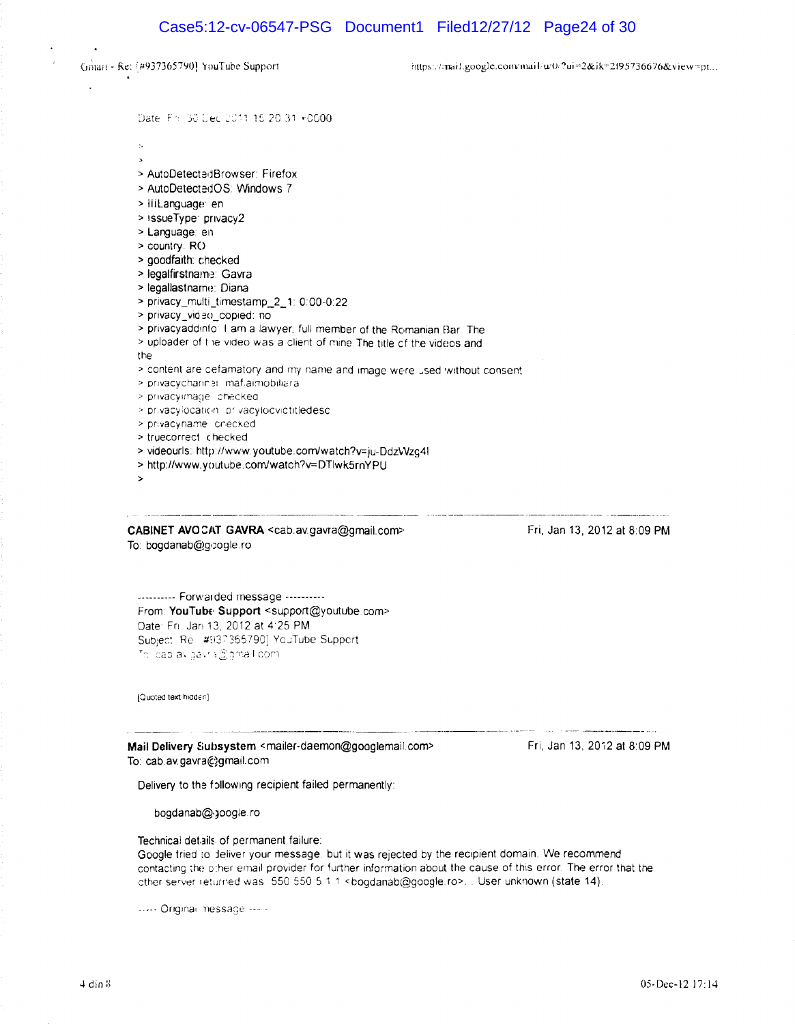Gmail - Re: [#937365790] YouTube Support

https://mail.google.com/mail/u/0/?ui=2&ik=2f95736676&view=pt...

Date: Fri 30 Dec 2011 15:20:31 +0000

- $\bar{\nu}$  $\overline{ }$
- > AutoDetectedBrowser: Firefox
- > AutoDetectedOS: Windows 7
- > iliLanguage: en
- > issueType: privacy2
- > Language: en
- > country: RO
- > goodfaith: checked
- > legalfirstname: Gavra
- > legallastname: Diana
- > privacy\_multi\_timestamp\_2\_1: 0:00-0:22
- > privacy\_video\_copied: no
- > privacyaddinfo: I am a lawyer, full member of the Romanian Bar. The
- > uploader of the video was a client of mine. The title of the videos and

the

- > content are cefamatory and my name and image were used without consent
- > privacychannel imaflaimobiliara
- > privacyimage checked
- > privacylocation privacylocylotitledesc
- > privacyname checked
- > truecorrect\_checked
- > videourls: http://www.youtube.com/watch?v=iu-DdzVVzq4l
- > http://www.youtube.com/watch?v=DTlwk5rnYPU
- 

CABINET AVOCAT GAVRA <cab.av.gavra@gmail.com> To: bogdanab@google.ro

Fri, Jan 13, 2012 at 8:09 PM

--------- Forwarded message ---------From: YouTube Support <support@youtube.com> Date: Fri. Jan 13, 2012 at 4:25 PM Subject: Re #937365790] YouTube Support To loab avigavra@gmail.com.

(Quoted text hidden)

Mail Delivery Subsystem <mailer-daemon@googlemail.com> To: cab.av.gavra@gmail.com

Fri, Jan 13, 2012 at 8:09 PM

Delivery to the following recipient failed permanently:

bogdanab@google.ro

Technical details of permanent failure:

Google tried to deliver your message, but it was rejected by the recipient domain. We recommend contacting the other email provider for further information about the cause of this error. The error that the other server returned was 550.550.5.1.1 <br/>bogdanab@google.ro>... User unknown (state 14).

----- Original message -----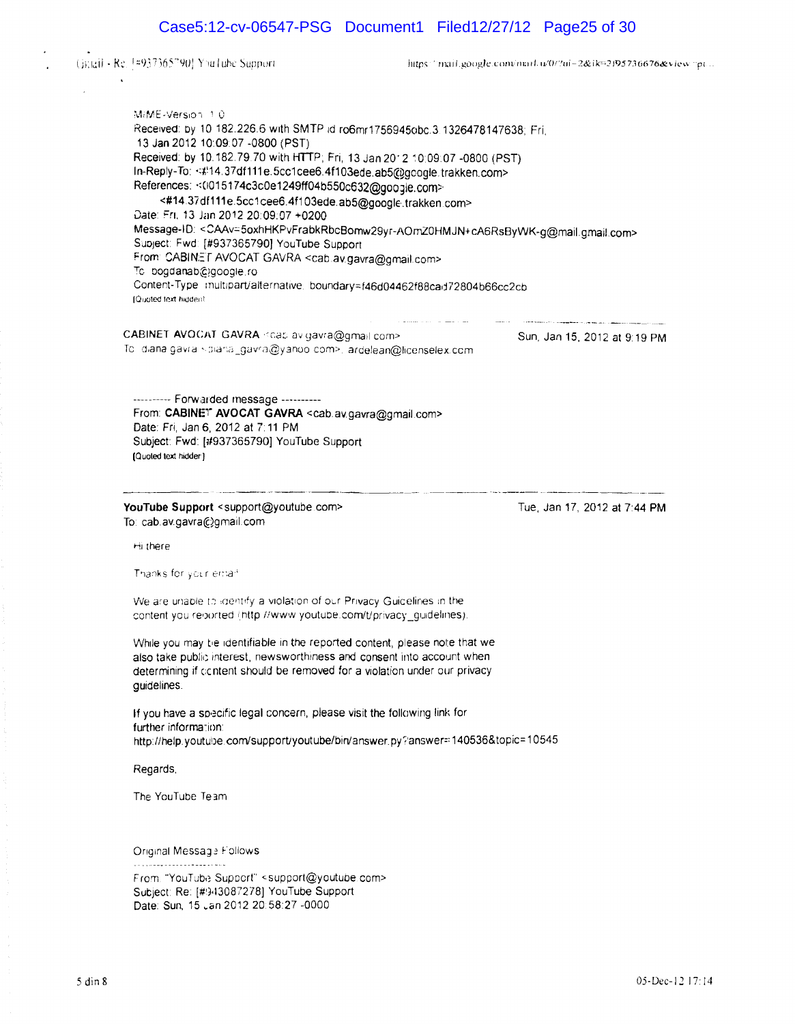# Case5:12-cv-06547-PSG Document1 Filed12/27/12 Page25 of 30

Ginall - Re. 1#937365790] YouTube Support

https://mail.google.convinail.w0/2ui-2&ik=2195736676&view.pt...

MiME-Version 1.0 Received: by 10 182.226.6 with SMTP id ro6mr1756945obc.3 1326478147638; Fri, 13 Jan 2012 10:09:07 -0800 (PST) Received: by 10.182.79.70 with HTTP; Fri, 13 Jan 2012 10:09:07 -0800 (PST) In-Reply-To: <#14.37df111e.5cc1cee6.4f103ede.ab5@gcogle.trakken.com> References: << 015174c3c0e1249ff04b550c632@google.com> <#14.37df111e.5cc1cee6.4f103ede.ab5@google.trakken.com> Date: Fri, 13 Jan 2012 20:09:07 +0200

Message-ID: <CAAv=5oxhHKPvFrabkRbcBomw29yr-AOmZ0HMJN+cA6RsByWK-g@mail.gmail.com> Subject: Fwd: [#937365790] YouTube Support From: CABINET AVOCAT GAVRA <cab.av.gavra@gmail.com> Tc. bogdanab@google.ro Content-Type multipart/alternative boundary=f46d04462f88cad72804b66cc2cb IQuoted text hluden!

CABINET AVOCAT GAVRA <cab av gavra@gmail com> Sun, Jan 15, 2012 at 9:19 PM Te (diana gavra · diana\_gavra@yanoo com>. ardelean@licenselex.com

---------- Forwalded message ---------- From: CABINET AVOCAT GAVRA <cab.av.gavra@gmail.com> Date: Fri, Jan 6, 2012 at 7:11 PM Subject: Fwd: [1#937365790] YouTube Support IQuoted text hidder)

YouTube Support <support@youtube.com> To cab.avgavra@gmail.com

Tue, Jan 17, 2012 at 7:44 PM

Hi there

Thanks for your email

We are unable to identify a violation of our Privacy Guicelines in the content you reported (http //www.youtube.com/t/privacy\_guidelines).

While you may tie identifiable in the reported content, please note that we also take public interest, newsworthiness and consent into account when determining if content should be removed for a violation under our privacy guidelines

If you have a specific legal concern, please visit the following link for further information: http://help.youtube.com/support/youtube/bin/answer.py?ianswer=: 140536&topic= 10545

Regards,

The YouTube Te3m

Original Message Follows

From "YouTube Support" <support@youtube.com> Subject: Re: [#943087278] YouTube Support Date: Sun, 15 .an 2012 20:58:27 -0000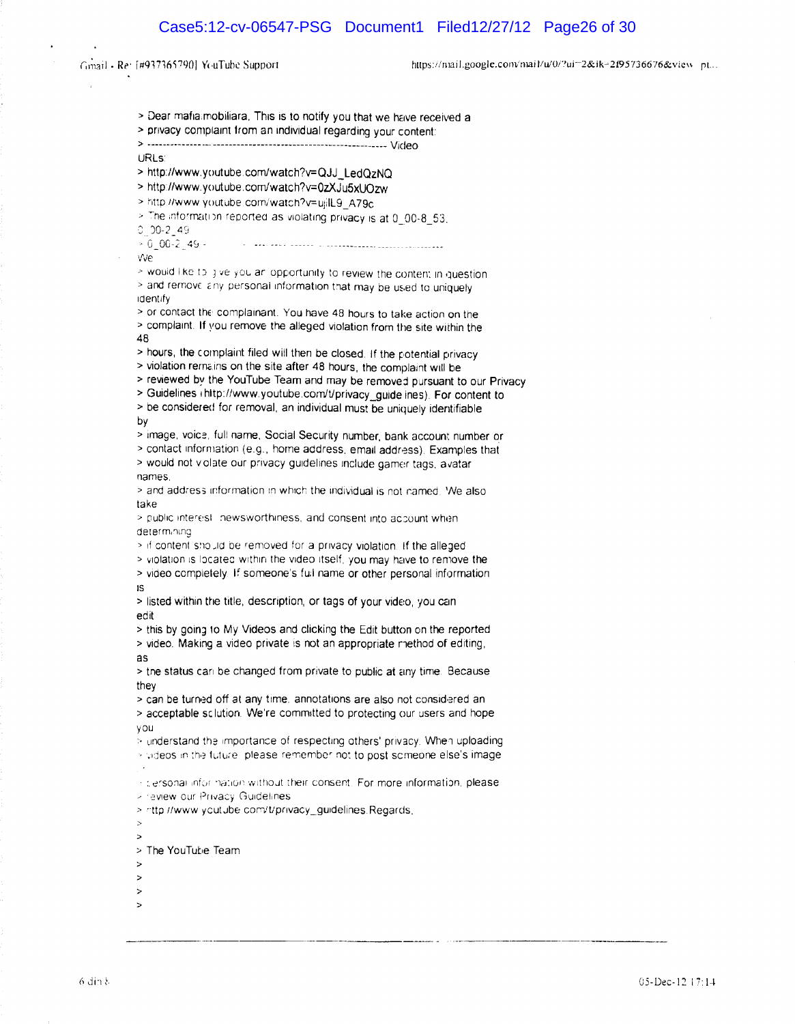Gmail - Re: [#937365790] YouTube Support

https://mail.google.com/mail/u/0/?ui=2&ik=2f95736676&view\_pt...

> Dear mafia mobiliara. This is to notify you that we have received a > privacy complaint from an individual regarding your content: URL<sub>S</sub>: > http://www.youtube.com/watch?v=QJJ\_LedQzNQ > http://www.youtube.com/watch?v=0zXJu5xUOzw > http://www.youtube.com/watch?v=ujilL9\_A79c > The information reported as violating privacy is at 0\_00-8\_53.  $0$  00-2 49  $> 0.00-2.49$ . we > would like to give you an opportunity to review the content in question. > and remove any personal information that may be used to uniquely identify > or contact the complainant. You have 48 hours to take action on the > complaint. If you remove the alleged violation from the site within the 48 > hours, the complaint filed will then be closed. If the potential privacy > violation remains on the site after 48 hours, the complaint will be > reviewed by the YouTube Team and may be removed pursuant to our Privacy > Guidelines (http://www.youtube.com/t/privacy\_guide ines). For content to > be considered for removal, an individual must be uniquely identifiable by > image, voice, full name, Social Security number, bank account number or > contact information (e.g., home address, email address). Examples that > would not violate our privacy guidelines include gamer tags, avatar names > and address information in which the individual is not named. 'We also take > public interest inewsworthiness, and consent into account when determining > if content should be removed for a privacy violation. If the alleged > violation is located within the video itself, you may have to remove the > video completely. If someone's full name or other personal information 15 > listed within the title, description, or tags of your video, you can edit > this by going to My Videos and clicking the Edit button on the reported > video. Making a video private is not an appropriate method of editing, as > the status can be changed from private to public at any time. Because they > can be turned off at any time. annotations are also not considered an > acceptable sclution. We're committed to protecting our users and hope vou > understand the importance of respecting others' privacy. When uploading > videos in the future, please remember not to post someone else's image incersonal information without their consent. For more information, please - review our Privacy Guidelines > rttp://www.youtube.com/t/privacy\_guidelines.Regards.  $\sim$  $\overline{ }$ > The YouTube Team  $\geq$ 

- $\rightarrow$
- $\rightarrow$
- $\rightarrow$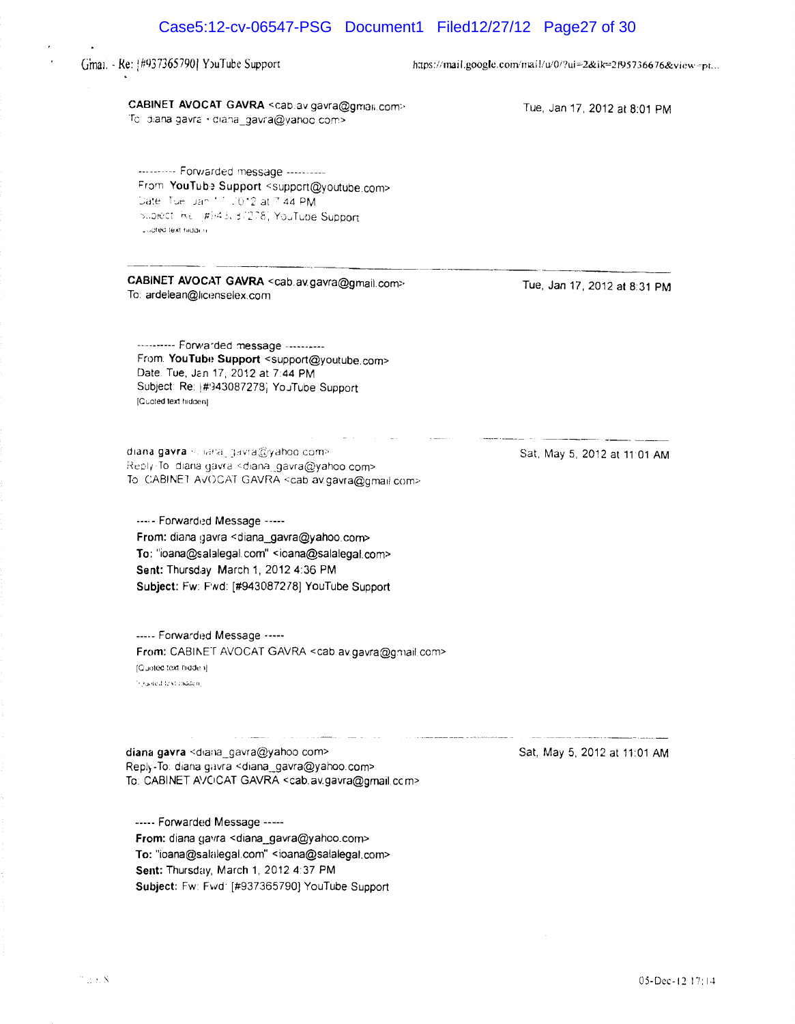|                                                                                                                                                                                                                                                                          | Case5:12-cv-06547-PSG Document1 Filed12/27/12 Page27 of 30   |
|--------------------------------------------------------------------------------------------------------------------------------------------------------------------------------------------------------------------------------------------------------------------------|--------------------------------------------------------------|
| Gmai. - Re: [#937365790] YouTube Support                                                                                                                                                                                                                                 | https://mail.google.com/mail/u/0/?ui=2&ik=2f95736676&view=pt |
| CABINET AVOCAT GAVRA <cab.av.gavra@gman.com><br/>To diana gavra <diana_gavra@yahoo.com></diana_gavra@yahoo.com></cab.av.gavra@gman.com>                                                                                                                                  | Tue, Jan 17, 2012 at 8:01 PM                                 |
| --------- Forwarded message ----------<br>From YouTube Support <support@youtube.com><br/>Date: Tuell Jan 11, 2012 at 7:44 PM<br/>Subject Rell #943, 37278, YouTube Support<br/>Judted text hidden.</support@youtube.com>                                                 |                                                              |
| CABINET AVOCAT GAVRA <cab.av.gavra@gmail.com><br/>To: ardelean@licenselex.com</cab.av.gavra@gmail.com>                                                                                                                                                                   | Tue, Jan 17, 2012 at 8:31 PM                                 |
| ---------- Forwarded message ----------<br>From: YouTube Support <support@youtube.com><br/>Date. Tue, Jan 17, 2012 at 7:44 PM<br/>Subject: Re: #943087278; YouTube Support<br/>[Cuoted text hidden]</support@youtube.com>                                                |                                                              |
| diana gavra sciana, gavra@yahoo.com><br>Reply-Tolldiana gavral <diana_gavra@yahoo.com><br/>To CABINET AVOCAT GAVRA scab av.gavra@gmail.com&gt;</diana_gavra@yahoo.com>                                                                                                   | Sat, May 5, 2012 at 11 01 AM                                 |
| ----- Forwarded Message -----<br>From: diana gavra <diana_gavra@yahoo.com><br/>To: "ioana@salalegal.com" <ioana@salalegal.com><br/>Sent: Thursday March 1, 2012 4:36 PM<br/>Subject: Fw: Fwd: [#943087278] YouTube Support</ioana@salalegal.com></diana_gavra@yahoo.com> |                                                              |
| ----- Forwarded Message -----<br>From: CABINET AVOCAT GAVRA <cab.av.gavra@gmail.com><br/>(Quoted text hidden)<br/>hijusked text maden.</cab.av.gavra@gmail.com>                                                                                                          |                                                              |
| diana gavra <diana gavra@yahoo.com=""><br/>Reply-To: diana gavra <diana_gavra@yahoo.com><br/>To: CABINET AVOCAT GAVRA <cab.av.gavra@gmail.ccm></cab.av.gavra@gmail.ccm></diana_gavra@yahoo.com></diana>                                                                  | Sat, May 5, 2012 at 11:01 AM                                 |

 $\epsilon$ 

 $\ddot{\phantom{a}}$ 

----- Forwarded Message -----

From: diana gavra <diana\_gavra@yahoo.com> To: "ioana@salalegal.com" <ioana@salalegal,com>

Subject: Fw: Fwd: [#937365790] YouTube Support

Sent: Thursday, March 1, 2012 4:37 PM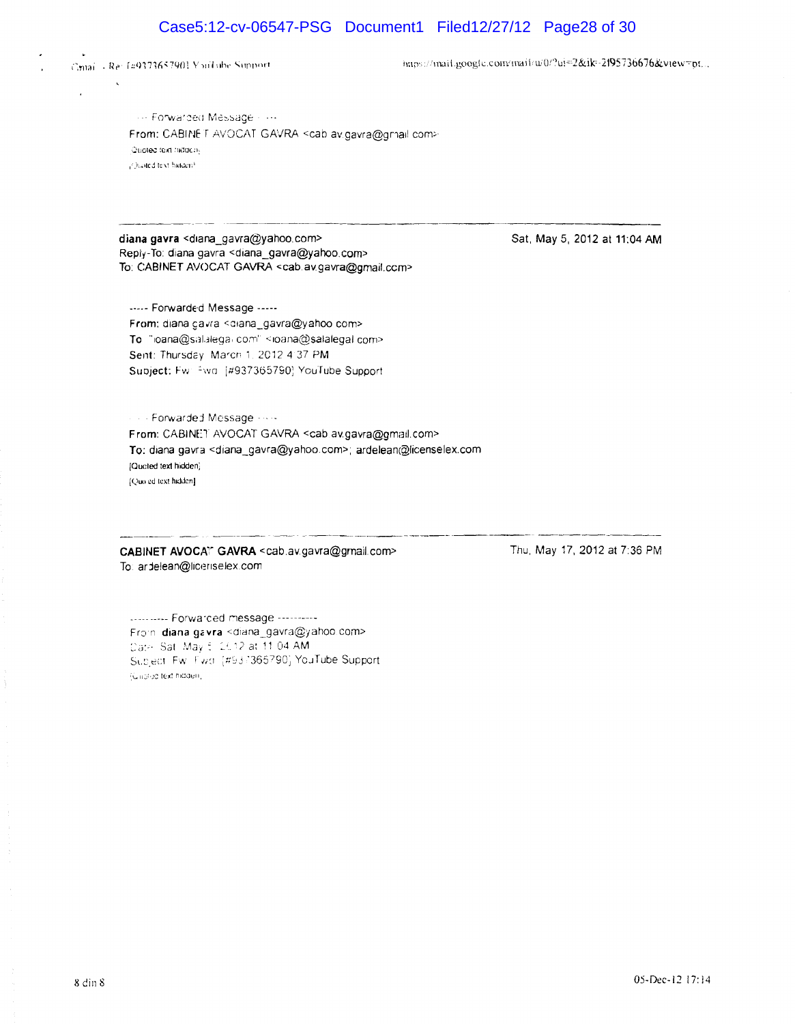# Case5:12-cv-06547-PSG Document1 Filed12/27/12 Page28 of 30



 $\ddot{\phantom{a}}$ 

 $\lambda$ 

https://mail.google.com/mail/w0/?ul=2&ik-2f95736676&view=pt...

**Forwarded Message: +++** From: CABINE T AVOCAT GAVRA <cab av.gavra@grhail.com> Quoted text hidden. (Quated text bidden)

diana gavra <diana\_gavra@yahoo.com> Reply-To: diana gavra <diana\_gavra@yahoo.com> To: CABINET AVOCAT GAVRA <cab.av.gavra@gmail.ccm>

---.- Forwarde'd Message .---- From: diana gavra <ciana\_gavra@yahoo com> To "ioana@salalega، com" <ioana@salalegal com> Sent: Thursday: March 1, 2012 4:37 PM Subject: Fw: Fiva: [#937365790] YouTube Support

Forwardej Message - From: CABINET AVOCAT GAVRA <cab av.gavra@gmail.com> To: diana gavra <diana\_gavra@yahoo.com>; ardelean@licenselex.com [Qucled text hidden; [Quo ed text hidden]

CABINET AVOCAT GAVRA <cab.av.gavra@grnail.com> To: ardelean@liceriselex.com

Sat. May 5, 2012 at 11:04 AM

Thu, May 17, 2012 at 7:36 PM

........... Forwarded message ----------Froin diana gavra <diana\_gavra@yahoo.com> Date: Sat May 6, 2012 at 11:04 AM Subject Fw Fwd (#937365790) YouTube Support (Girolise text hidden)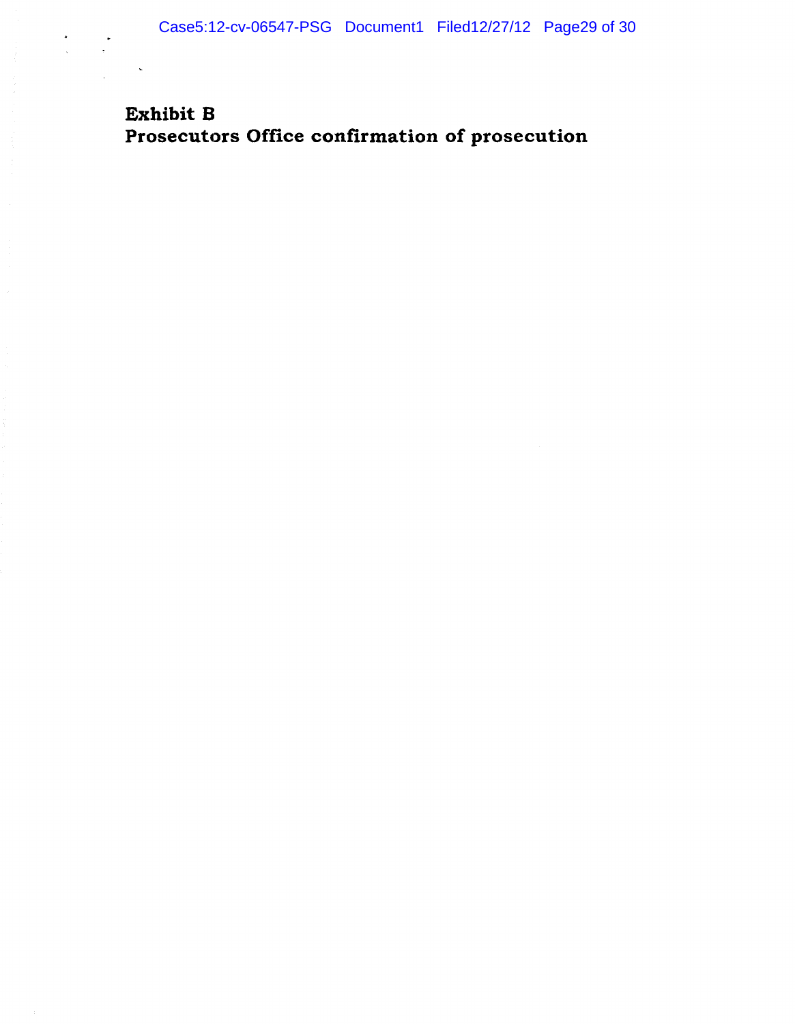# Exhibit B Prosecutors Office confirmation of prosecution